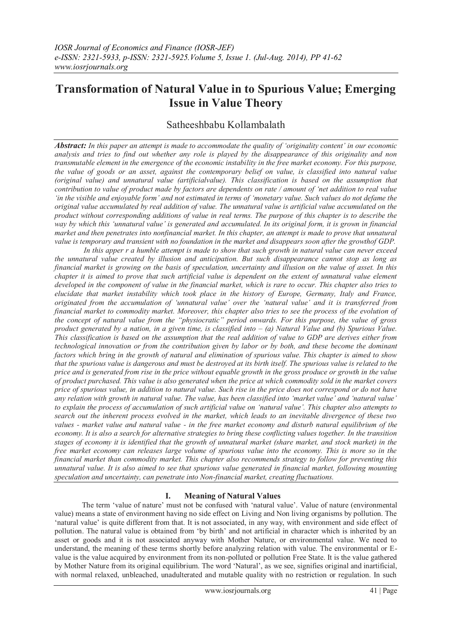# **Transformation of Natural Value in to Spurious Value; Emerging Issue in Value Theory**

## Satheeshbabu Kollambalath

*Abstract: In this paper an attempt is made to accommodate the quality of "originality content" in our economic analysis and tries to find out whether any role is played by the disappearance of this originality and non transmutable element in the emergence of the economic instability in the free market economy. For this purpose, the value of goods or an asset, against the contemporary belief on value, is classified into natural value (original value) and unnatural value (artificialvalue). This classification is based on the assumption that contribution to value of product made by factors are dependents on rate / amount of "net addition to real value "in the visible and enjoyable form" and not estimated in terms of "monetary value. Such values do not defame the original value accumulated by real addition of value. The unnatural value is artificial value accumulated on the product without corresponding additions of value in real terms. The purpose of this chapter is to describe the way by which this "unnatural value" is generated and accumulated. In its original form, it is grown in financial market and then penetrates into nonfinancial market. In this chapter, an attempt is made to prove that unnatural value is temporary and transient with no foundation in the market and disappears soon after the growthof GDP.*

*In this apper r a humble attempt is made to show that such growth in natural value can never exceed the unnatural value created by illusion and anticipation. But such disappearance cannot stop as long as financial market is growing on the basis of speculation, uncertainty and illusion on the value of asset. In this chapter it is aimed to prove that such artificial value is dependent on the extent of unnatural value element developed in the component of value in the financial market, which is rare to occur. This chapter also tries to elucidate that market instability which took place in the history of Europe, Germany, Italy and France, originated from the accumulation of "unnatural value" over the "natural value" and it is transferred from financial market to commodity market. Moreover, this chapter also tries to see the process of the evolution of the concept of natural value from the "physiocratic" period onwards. For this purpose, the value of gross product generated by a nation, in a given time, is classified into – (a) Natural Value and (b) Spurious Value. This classification is based on the assumption that the real addition of value to GDP are derives either from technological innovation or from the contribution given by labor or by both, and these become the dominant factors which bring in the growth of natural and elimination of spurious value. This chapter is aimed to show that the spurious value is dangerous and must be destroyed at its birth itself. The spurious value is related to the price and is generated from rise in the price without equable growth in the gross produce or growth in the value of product purchased. This value is also generated when the price at which commodity sold in the market covers price of spurious value, in addition to natural value. Such rise in the price does not correspond or do not have any relation with growth in natural value. The value, has been classified into "market value" and "natural value" to explain the process of accumulation of such artificial value on "natural value". This chapter also attempts to search out the inherent process evolved in the market, which leads to an inevitable divergence of these two values - market value and natural value - in the free market economy and disturb natural equilibrium of the economy. It is also a search for alternative strategies to bring these conflicting values together. In the transition stages of economy it is identified that the growth of unnatural market (share market, and stock market) in the free market economy can releases large volume of spurious value into the economy. This is more so in the financial market than commodity market. This chapter also recommends strategy to follow for preventing this unnatural value. It is also aimed to see that spurious value generated in financial market, following mounting speculation and uncertainty, can penetrate into Non-financial market, creating fluctuations.*

## **I. Meaning of Natural Values**

The term 'value of nature' must not be confused with 'natural value'. Value of nature (environmental value) means a state of environment having no side effect on Living and Non living organisms by pollution. The ‗natural value' is quite different from that. It is not associated, in any way, with environment and side effect of pollution. The natural value is obtained from ‗by birth' and not artificial in character which is inherited by an asset or goods and it is not associated anyway with Mother Nature, or environmental value. We need to understand, the meaning of these terms shortly before analyzing relation with value. The environmental or Evalue is the value acquired by environment from its non-polluted or pollution Free State. It is the value gathered by Mother Nature from its original equilibrium. The word 'Natural', as we see, signifies original and inartificial, with normal relaxed, unbleached, unadulterated and mutable quality with no restriction or regulation. In such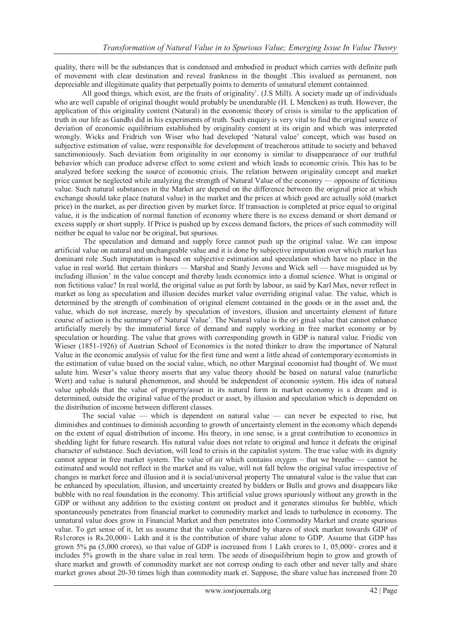quality, there will be the substances that is condensed and embodied in product which carries with definite path of movement with clear destination and reveal frankness in the thought .This isvalued as permanent, non depreciable and illegitimate quality that perpetually points to demerits of unnatural element containned.

All good things, which exist, are the fruits of originality'. (J.S Mill). A society made up of individuals who are well capable of original thought would probably be unendurable (H. L Mencken) as truth. However, the application of this originality content (Natural) in the economic theory of crisis is similar to the application of truth in our life as Gandhi did in his experiments of truth. Such enquiry is very vital to find the original source of deviation of economic equilibrium established by originality content at its origin and which was interpreted wrongly. Wicks and Fridrich von Wiser who had developed ‗Natural value' concept, which was based on subjective estimation of value, were responsible for development of treacherous attitude to society and behaved sanctimoniously. Such deviation from originality in our economy is similar to disappearance of our truthful behavior which can produce adverse effect to some extent and which leads to economic crisis. This has to be analyzed before seeking the source of economic crisis. The relation between originality concept and market price cannot be neglected while analyzing the strength of Natural Value of the economy — opposite of fictitious value. Such natural substances in the Market are depend on the difference between the original price at which exchange should take place (natural value) in the market and the prices at which good are actually sold (market price) in the market, as per direction given by market force. If transaction is completed at price equal to original value, it is the indication of normal function of economy where there is no excess demand or short demand or excess supply or short supply. If Price is pushed up by excess demand factors, the prices of such commodity will neither be equal to value nor be original, but spurious.

The speculation and demand and supply force cannot push up the original value. We can impose artificial value on natural and unchangeable value and it is done by subjective imputation over which market has dominant role .Such imputation is based on subjective estimation and speculation which have no place in the value in real world. But certain thinkers — Marshal and Stanly Jevons and Wick sell — have misguided us by including illusion' in the value concept and thereby leads economics into a dismal science. What is original or non fictitious value? In real world, the original value as put forth by labour, as said by Karl Max, never reflect in market as long as speculation and illusion decides market value overriding original value. The value, which is determined by the strength of combination of original element contained in the goods or in the asset and, the value, which do not increase, merely by speculation of investors, illusion and uncertainty element of future course of action is the summary of' Natural Value'. The Natural value is the ori ginal value that cannot enhance artificially merely by the immaterial force of demand and supply working in free market economy or by speculation or hoarding. The value that grows with corresponding growth in GDP is natural value. Friedic von Wieser (1851-1926) of Austrian School of Economics is the noted thinker to draw the importance of Natural Value in the economic analysis of value for the first time and went a little ahead of contemporary economists in the estimation of value based on the social value, which, no other Marginal economist had thought of. We must salute him. Weser's value theory asserts that any value theory should be based on natural value (naturliche Wert) and value is natural phenomenon, and should be independent of economic system. His idea of natural value upholds that the value of property/asset in its natural form in market economy is a dream and is determined, outside the original value of the product or asset, by illusion and speculation which is dependent on the distribution of income between different classes.

The social value — which is dependent on natural value — can never be expected to rise, but diminishes and continues to diminish according to growth of uncertainty element in the economy which depends on the extent of equal distribution of income. His theory, in one sense, is a great contribution to economics in shedding light for future research. His natural value does not relate to original and hence it defeats the original character of substance. Such deviation, will lead to crisis in the capitalist system. The true value with its dignity cannot appear in free market system. The value of air which contains oxygen – that we breathe — cannot be estimated and would not reflect in the market and its value, will not fall below the original value irrespective of changes in market force and illusion and it is social/universal property The unnatural value is the value that can be enhanced by speculation, illusion, and uncertainty created by bidders or Bulls and grows and disappears like bubble with no real foundation in the economy. This artificial value grows spuriously without any growth in the GDP or without any addition to the existing content on product and it generates stimulus for bubble, which spontaneously penetrates from financial market to commodity market and leads to turbulence in economy. The unnatural value does grow in Financial Market and then penetrates into Commodity Market and create spurious value. To get sense of it, let us assume that the value contributed by shares of stock market towards GDP of Rs1crores is Rs.20,000/- Lakh and it is the contribution of share value alone to GDP. Assume that GDP has grown 5% pa (5,000 crores), so that value of GDP is increased from 1 Lakh crores to 1, 05,000/- crores and it includes 5% growth in the share value in real term. The seeds of disequilibrium begin to grow and growth of share market and growth of commodity market are not corresp onding to each other and never tally and share market grows about 20-30 times high than commodity mark et. Suppose, the share value has increased from 20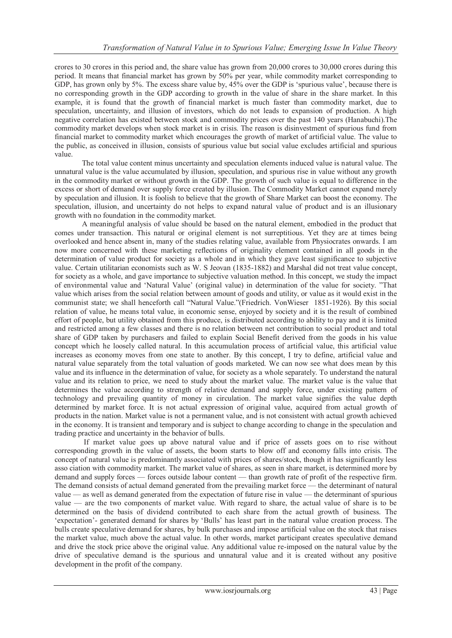crores to 30 crores in this period and, the share value has grown from 20,000 crores to 30,000 crores during this period. It means that financial market has grown by 50% per year, while commodity market corresponding to GDP, has grown only by 5%. The excess share value by, 45% over the GDP is 'spurious value', because there is no corresponding growth in the GDP according to growth in the value of share in the share market. In this example, it is found that the growth of financial market is much faster than commodity market, due to speculation, uncertainty, and illusion of investors, which do not leads to expansion of production. A high negative correlation has existed between stock and commodity prices over the past 140 years (Hanabuchi).The commodity market develops when stock market is in crisis. The reason is disinvestment of spurious fund from financial market to commodity market which encourages the growth of market of artificial value. The value to the public, as conceived in illusion, consists of spurious value but social value excludes artificial and spurious value.

The total value content minus uncertainty and speculation elements induced value is natural value. The unnatural value is the value accumulated by illusion, speculation, and spurious rise in value without any growth in the commodity market or without growth in the GDP. The growth of such value is equal to difference in the excess or short of demand over supply force created by illusion. The Commodity Market cannot expand merely by speculation and illusion. It is foolish to believe that the growth of Share Market can boost the economy. The speculation, illusion, and uncertainty do not helps to expand natural value of product and is an illusionary growth with no foundation in the commodity market.

A meaningful analysis of value should be based on the natural element, embodied in the product that comes under transaction. This natural or original element is not surreptitious. Yet they are at times being overlooked and hence absent in, many of the studies relating value, available from Physiocrates onwards. I am now more concerned with these marketing reflections of originality element contained in all goods in the determination of value product for society as a whole and in which they gave least significance to subjective value. Certain utilitarian economists such as W. S Jeovan (1835-1882) and Marshal did not treat value concept, for society as a whole, and gave importance to subjective valuation method. In this concept, we study the impact of environmental value and 'Natural Value' (original value) in determination of the value for society. "That value which arises from the social relation between amount of goods and utility, or value as it would exist in the communist state; we shall henceforth call "Natural Value."(Friedrich. VonWieser 1851-1926). By this social relation of value, he means total value, in economic sense, enjoyed by society and it is the result of combined effort of people, but utility obtained from this produce, is distributed according to ability to pay and it is limited and restricted among a few classes and there is no relation between net contribution to social product and total share of GDP taken by purchasers and failed to explain Social Benefit derived from the goods in his value concept which he loosely called natural. In this accumulation process of artificial value, this artificial value increases as economy moves from one state to another. By this concept, I try to define, artificial value and natural value separately from the total valuation of goods marketed. We can now see what does mean by this value and its influence in the determination of value, for society as a whole separately. To understand the natural value and its relation to price, we need to study about the market value. The market value is the value that determines the value according to strength of relative demand and supply force, under existing pattern of technology and prevailing quantity of money in circulation. The market value signifies the value depth determined by market force. It is not actual expression of original value, acquired from actual growth of products in the nation. Market value is not a permanent value, and is not consistent with actual growth achieved in the economy. It is transient and temporary and is subject to change according to change in the speculation and trading practice and uncertainty in the behavior of bulls.

If market value goes up above natural value and if price of assets goes on to rise without corresponding growth in the value of assets, the boom starts to blow off and economy falls into crisis. The concept of natural value is predominantly associated with prices of shares/stock, though it has significantly less asso ciation with commodity market. The market value of shares, as seen in share market, is determined more by demand and supply forces — forces outside labour content — than growth rate of profit of the respective firm. The demand consists of actual demand generated from the prevailing market force — the determinant of natural value — as well as demand generated from the expectation of future rise in value — the determinant of spurious value — are the two components of market value. With regard to share, the actual value of share is to be determined on the basis of dividend contributed to each share from the actual growth of business. The ‗expectation'- generated demand for shares by ‗Bulls' has least part in the natural value creation process. The bulls create speculative demand for shares, by bulk purchases and impose artificial value on the stock that raises the market value, much above the actual value. In other words, market participant creates speculative demand and drive the stock price above the original value. Any additional value re-imposed on the natural value by the drive of speculative demand is the spurious and unnatural value and it is created without any positive development in the profit of the company.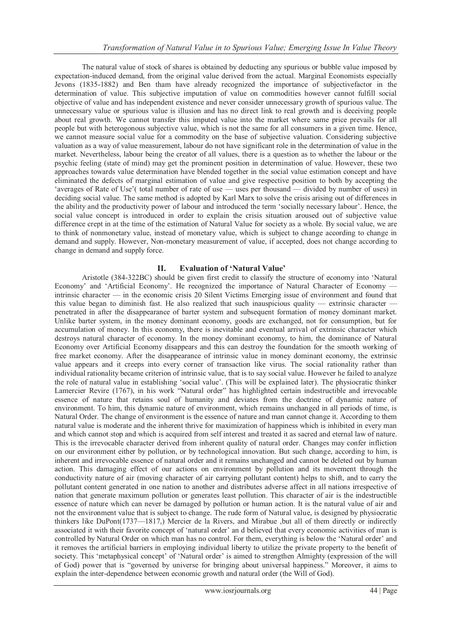The natural value of stock of shares is obtained by deducting any spurious or bubble value imposed by expectation-induced demand, from the original value derived from the actual. Marginal Economists especially Jevons (1835-1882) and Ben tham have already recognized the importance of subjectivefactor in the determination of value. This subjective imputation of value on commodities however cannot fulfill social objective of value and has independent existence and never consider unnecessary growth of spurious value. The unnecessary value or spurious value is illusion and has no direct link to real growth and is deceiving people about real growth. We cannot transfer this imputed value into the market where same price prevails for all people but with heterogonous subjective value, which is not the same for all consumers in a given time. Hence, we cannot measure social value for a commodity on the base of subjective valuation. Considering subjective valuation as a way of value measurement, labour do not have significant role in the determination of value in the market. Nevertheless, labour being the creator of all values, there is a question as to whether the labour or the psychic feeling (state of mind) may get the prominent position in determination of value. However, these two approaches towards value determination have blended together in the social value estimation concept and have eliminated the defects of marginal estimation of value and give respective position to both by accepting the ‗averages of Rate of Use'( total number of rate of use — uses per thousand — divided by number of uses) in deciding social value. The same method is adopted by Karl Marx to solve the crisis arising out of differences in the ability and the productivity power of labour and introduced the term 'socially necessary labour'. Hence, the social value concept is introduced in order to explain the crisis situation aroused out of subjective value difference crept in at the time of the estimation of Natural Value for society as a whole. By social value, we are to think of nonmonetary value, instead of monetary value, which is subject to change according to change in demand and supply. However, Non-monetary measurement of value, if accepted, does not change according to change in demand and supply force.

## **II. Evaluation of 'Natural Value'**

Aristotle (384-322BC) should be given first credit to classify the structure of economy into 'Natural Economy' and 'Artificial Economy'. He recognized the importance of Natural Character of Economy intrinsic character — in the economic crisis 20 Silent Victims Emerging issue of environment and found that this value began to diminish fast. He also realized that such inauspicious quality — extrinsic character penetrated in after the disappearance of barter system and subsequent formation of money dominant market. Unlike barter system, in the money dominant economy, goods are exchanged, not for consumption, but for accumulation of money. In this economy, there is inevitable and eventual arrival of extrinsic character which destroys natural character of economy. In the money dominant economy, to him, the dominance of Natural Economy over Artificial Economy disappears and this can destroy the foundation for the smooth working of free market economy. After the disappearance of intrinsic value in money dominant economy, the extrinsic value appears and it creeps into every corner of transaction like virus. The social rationality rather than individual rationality became criterion of intrinsic value, that is to say social value. However he failed to analyze the role of natural value in establishing 'social value'. (This will be explained later). The physiocratic thinker Lamercier Revire (1767), in his work "Natural order" has highlighted certain indestructible and irrevocable essence of nature that retains soul of humanity and deviates from the doctrine of dynamic nature of environment. To him, this dynamic nature of environment, which remains unchanged in all periods of time, is Natural Order. The change of environment is the essence of nature and man cannot change it. According to them natural value is moderate and the inherent thrive for maximization of happiness which is inhibited in every man and which cannot stop and which is acquired from self interest and treated it as sacred and eternal law of nature. This is the irrevocable character derived from inherent quality of natural order. Changes may confer infliction on our environment either by pollution, or by technological innovation. But such change, according to him, is inherent and irrevocable essence of natural order and it remains unchanged and cannot be deleted out by human action. This damaging effect of our actions on environment by pollution and its movement through the conductivity nature of air (moving character of air carrying pollutant content) helps to shift, and to carry the pollutant content generated in one nation to another and distributes adverse affect in all nations irrespective of nation that generate maximum pollution or generates least pollution. This character of air is the indestructible essence of nature which can never be damaged by pollution or human action. It is the natural value of air and not the environment value that is subject to change. The rude form of Natural value, is designed by physiocratic thinkers like DuPont(1737—1817,) Mercier de la Rivers, and Mirabue ,but all of them directly or indirectly associated it with their favorite concept of 'natural order' an d believed that every economic activities of man is controlled by Natural Order on which man has no control. For them, everything is below the 'Natural order' and it removes the artificial barriers in employing individual liberty to utilize the private property to the benefit of society. This 'metaphysical concept' of 'Natural order' is aimed to strengthen Almighty (expression of the will of God) power that is "governed by universe for bringing about universal happiness." Moreover, it aims to explain the inter-dependence between economic growth and natural order (the Will of God).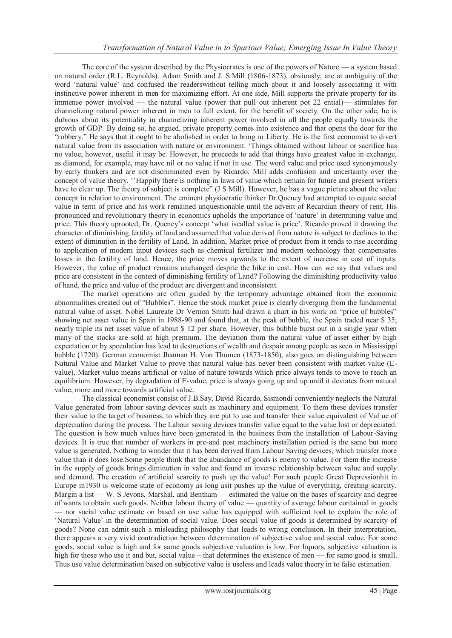The core of the system described by the Physiocrates is one of the powers of Nature — a system based on natural order (R.L. Reynolds). Adam Smith and J. S.Mill (1806-1873), obviously, are at ambiguity of the word 'natural value' and confused the readerswithout telling much about it and loosely associating it with instinctive power inherent in men for maximizing effort. At one side, Mill supports the private property for its immense power involved — the natural value (power that pull out inherent pot 22 ential)— stimulates for channelizing natural power inherent in men to full extent, for the benefit of society. On the other side, he is dubious about its potentiality in channelizing inherent power involved in all the people equally towards the growth of GDP. By doing so, he argued, private property comes into existence and that opens the door for the ―robbery.‖ He says that it ought to be abolished in order to bring in Liberty. He is the first economist to divert natural value from its association with nature or environment. ‗Things obtained without labour or sacrifice has no value, however, useful it may be. However, he proceeds to add that things have greatest value in exchange, as diamond, for example, may have nil or no value if not in use. The word value and price used synonymously by early thinkers and are not discriminated even by Ricardo. Mill adds confusion and uncertainty over the concept of value theory. ‗'Happily there is nothing in laws of value which remain for future and present writers have to clear up. The theory of subject is complete" (J S Mill). However, he has a vague picture about the value concept in relation to environment. The eminent physiocratic thinker Dr.Quency had attempted to equate social value in term of price and his work remained unquestionable until the advent of Recardian theory of rent. His pronounced and revolutionary theory in economics upholds the importance of ‗nature' in determining value and price. This theory uprooted, Dr. Quency's concept ‗what iscalled value is price'. Ricardo proved it drawing the character of diminishing fertility of land and assumed that value derived from nature is subject to declines to the extent of diminution in the fertility of Land. In addition, Market price of product from it tends to rise according to application of modern input devices such as chemical fertilizer and modern technology that compensates losses in the fertility of land. Hence, the price moves upwards to the extent of increase in cost of inputs. However, the value of product remains unchanged despite the hike in cost. How can we say that values and price are consistent in the context of diminishing fertility of Land? Following the diminishing productivity value of hand, the price and value of the product are divergent and inconsistent.

The market operations are often guided by the temporary advantage obtained from the economic abnormalities created out of "Bubbles". Hence the stock market price is clearly diverging from the fundamental natural value of asset. Nobel Laureate Dr Vernon Smith had drawn a chart in his work on "price of bubbles" showing net asset value in Spain in 1988-90 and found that, at the peak of bubble, the Spain traded near \$ 35; nearly triple its net asset value of about \$ 12 per share. However, this bubble burst out in a single year when many of the stocks are sold at high premium. The deviation from the natural value of asset either by high expectation or by speculation has lead to destructions of wealth and despair among people as seen in Mississippi bubble (1720). German economist Jhannan H. Von Thumen (1873-1850), also goes on distinguishing between Natural Value and Market Value to prove that natural value has never been consistent with market value (Evalue). Market value means artificial or value of nature towards which price always tends to move to reach an equilibrium. However, by degradation of E-value, price is always going up and up until it deviates from natural value, more and more towards artificial value.

The classical economist consist of J.B.Say, David Ricardo, Sismondi conveniently neglects the Natural Value generated from labour saving devices such as machinery and equipment. To them these devices transfer their value to the target of business, to which they are put to use and transfer their value equivalent of Val ue of depreciation during the process. The Labour saving devices transfer value equal to the value lost or depreciated. The question is how much values have been generated in the business from the installation of Labour-Saving devices. It is true that number of workers in pre-and post machinery installation period is the same but more value is generated. Nothing to wonder that it has been derived from Labour Saving devices, which transfer more value than it does lose.Some people think that the abundance of goods is enemy to value. For them the increase in the supply of goods brings diminution in value and found an inverse relationship between value and supply and demand. The creation of artificial scarcity to push up the value! For such people Great Depressionhit in Europe in1930 is welcome state of economy as long asit pushes up the value of everything, creating scarcity. Margin a list — W. S Jevons, Marshal, and Bentham — estimated the value on the bases of scarcity and degree of wants to obtain such goods. Neither labour theory of value — quantity of average labour contained in goods — nor social value estimate on based on use value has equipped with sufficient tool to explain the role of ‗Natural Value' in the determination of social value. Does social value of goods is determined by scarcity of goods? None can admit such a misleading philosophy that leads to wrong conclusion. In their interpretation, there appears a very vivid contradiction between determination of subjective value and social value. For some goods, social value is high and for same goods subjective valuation is low. For liquors, subjective valuation is high for those who use it and but, social value – that determines the existence of men — for same good is small. Thus use value determination based on subjective value is useless and leads value theory in to false estimation.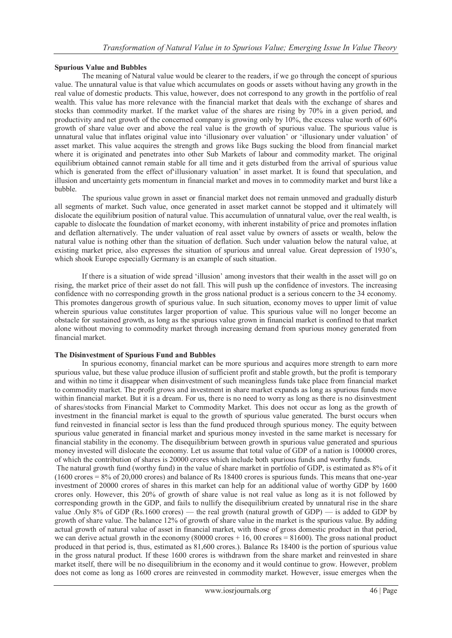#### **Spurious Value and Bubbles**

The meaning of Natural value would be clearer to the readers, if we go through the concept of spurious value. The unnatural value is that value which accumulates on goods or assets without having any growth in the real value of domestic products. This value, however, does not correspond to any growth in the portfolio of real wealth. This value has more relevance with the financial market that deals with the exchange of shares and stocks than commodity market. If the market value of the shares are rising by 70% in a given period, and productivity and net growth of the concerned company is growing only by 10%, the excess value worth of 60% growth of share value over and above the real value is the growth of spurious value. The spurious value is unnatural value that inflates original value into 'illusionary over valuation' or 'illusionary under valuation' of asset market. This value acquires the strength and grows like Bugs sucking the blood from financial market where it is originated and penetrates into other Sub Markets of labour and commodity market. The original equilibrium obtained cannot remain stable for all time and it gets disturbed from the arrival of spurious value which is generated from the effect of illusionary valuation' in asset market. It is found that speculation, and illusion and uncertainty gets momentum in financial market and moves in to commodity market and burst like a bubble.

The spurious value grown in asset or financial market does not remain unmoved and gradually disturb all segments of market. Such value, once generated in asset market cannot be stopped and it ultimately will dislocate the equilibrium position of natural value. This accumulation of unnatural value, over the real wealth, is capable to dislocate the foundation of market economy, with inherent instability of price and promotes inflation and deflation alternatively. The under valuation of real asset value by owners of assets or wealth, below the natural value is nothing other than the situation of deflation. Such under valuation below the natural value, at existing market price, also expresses the situation of spurious and unreal value. Great depression of 1930's, which shook Europe especially Germany is an example of such situation.

If there is a situation of wide spread 'illusion' among investors that their wealth in the asset will go on rising, the market price of their asset do not fall. This will push up the confidence of investors. The increasing confidence with no corresponding growth in the gross national product is a serious concern to the 34 economy. This promotes dangerous growth of spurious value. In such situation, economy moves to upper limit of value wherein spurious value constitutes larger proportion of value. This spurious value will no longer become an obstacle for sustained growth, as long as the spurious value grown in financial market is confined to that market alone without moving to commodity market through increasing demand from spurious money generated from financial market.

#### **The Disinvestment of Spurious Fund and Bubbles**

In spurious economy, financial market can be more spurious and acquires more strength to earn more spurious value, but these value produce illusion of sufficient profit and stable growth, but the profit is temporary and within no time it disappear when disinvestment of such meaningless funds take place from financial market to commodity market. The profit grows and investment in share market expands as long as spurious funds move within financial market. But it is a dream. For us, there is no need to worry as long as there is no disinvestment of shares/stocks from Financial Market to Commodity Market. This does not occur as long as the growth of investment in the financial market is equal to the growth of spurious value generated. The burst occurs when fund reinvested in financial sector is less than the fund produced through spurious money. The equity between spurious value generated in financial market and spurious money invested in the same market is necessary for financial stability in the economy. The disequilibrium between growth in spurious value generated and spurious money invested will dislocate the economy. Let us assume that total value of GDP of a nation is 100000 crores, of which the contribution of shares is 20000 crores which include both spurious funds and worthy funds.

The natural growth fund (worthy fund) in the value of share market in portfolio of GDP, is estimated as 8% of it (1600 crores = 8% of 20,000 crores) and balance of Rs 18400 crores is spurious funds. This means that one-year investment of 20000 crores of shares in this market can help for an additional value of worthy GDP by 1600 crores only. However, this 20% of growth of share value is not real value as long as it is not followed by corresponding growth in the GDP, and fails to nullify the disequilibrium created by unnatural rise in the share value .Only 8% of GDP (Rs.1600 crores) — the real growth (natural growth of GDP) — is added to GDP by growth of share value. The balance 12% of growth of share value in the market is the spurious value. By adding actual growth of natural value of asset in financial market, with those of gross domestic product in that period, we can derive actual growth in the economy (80000 crores  $+ 16$ , 00 crores  $= 81600$ ). The gross national product produced in that period is, thus, estimated as 81,600 crores.). Balance Rs 18400 is the portion of spurious value in the gross natural product. If these 1600 crores is withdrawn from the share market and reinvested in share market itself, there will be no disequilibrium in the economy and it would continue to grow. However, problem does not come as long as 1600 crores are reinvested in commodity market. However, issue emerges when the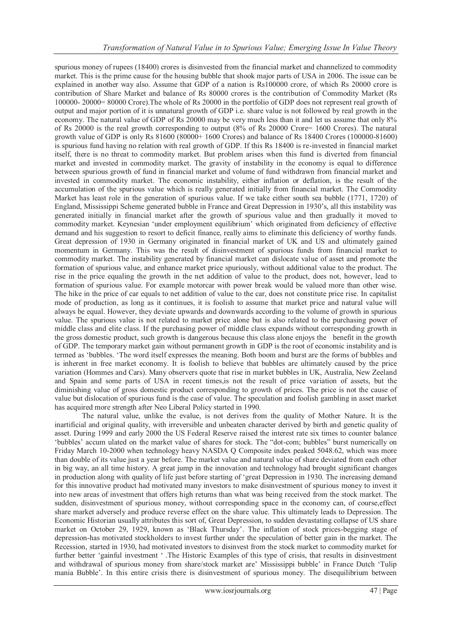spurious money of rupees (18400) crores is disinvested from the financial market and channelized to commodity market. This is the prime cause for the housing bubble that shook major parts of USA in 2006. The issue can be explained in another way also. Assume that GDP of a nation is Rs100000 crore, of which Rs 20000 crore is contribution of Share Market and balance of Rs 80000 crores is the contribution of Commodity Market (Rs 100000- 20000= 80000 Crore).The whole of Rs 20000 in the portfolio of GDP does not represent real growth of output and major portion of it is unnatural growth of GDP i.e. share value is not followed by real growth in the economy. The natural value of GDP of Rs 20000 may be very much less than it and let us assume that only 8% of Rs 20000 is the real growth corresponding to output (8% of Rs 20000 Crore= 1600 Crores). The natural growth value of GDP is only Rs 81600 (80000+ 1600 Crores) and balance of Rs 18400 Crores (100000-81600) is spurious fund having no relation with real growth of GDP. If this Rs 18400 is re-invested in financial market itself, there is no threat to commodity market. But problem arises when this fund is diverted from financial market and invested in commodity market. The gravity of instability in the economy is equal to difference between spurious growth of fund in financial market and volume of fund withdrawn from financial market and invested in commodity market. The economic instability, either inflation or deflation, is the result of the accumulation of the spurious value which is really generated initially from financial market. The Commodity Market has least role in the generation of spurious value. If we take either south sea bubble (1771, 1720) of England, Mississippi Scheme generated bubble in France and Great Depression in 1930's, all this instability was generated initially in financial market after the growth of spurious value and then gradually it moved to commodity market. Keynesian 'under employment equilibrium' which originated from deficiency of effective demand and his suggestion to resort to deficit finance, really aims to eliminate this deficiency of worthy funds. Great depression of 1930 in Germany originated in financial market of UK and US and ultimately gained momentum in Germany. This was the result of disinvestment of spurious funds from financial market to commodity market. The instability generated by financial market can dislocate value of asset and promote the formation of spurious value, and enhance market price spuriously, without additional value to the product. The rise in the price equaling the growth in the net addition of value to the product, does not, however, lead to formation of spurious value. For example motorcar with power break would be valued more than other wise. The hike in the price of car equals to net addition of value to the car, does not constitute price rise. In capitalist mode of production, as long as it continues, it is foolish to assume that market price and natural value will always be equal. However, they deviate upwards and downwards according to the volume of growth in spurious value. The spurious value is not related to market price alone but is also related to the purchasing power of middle class and elite class. If the purchasing power of middle class expands without corresponding growth in the gross domestic product, such growth is dangerous because this class alone enjoys the benefit in the growth of GDP. The temporary market gain without permanent growth in GDP is the root of economic instability and is termed as ‗bubbles. ‗The word itself expresses the meaning. Both boom and burst are the forms of bubbles and is inherent in free market economy. It is foolish to believe that bubbles are ultimately caused by the price variation (Hommes and Cars). Many observers quote that rise in market bubbles in UK, Australia, New Zeeland and Spain and some parts of USA in recent times,is not the result of price variation of assets, but the diminishing value of gross domestic product corresponding to growth of prices. The price is not the cause of value but dislocation of spurious fund is the case of value. The speculation and foolish gambling in asset market has acquired more strength after Neo Liberal Policy started in 1990.

The natural value, unlike the evalue, is not derives from the quality of Mother Nature. It is the inartificial and original quality, with irreversible and unbeaten character derived by birth and genetic quality of asset. During 1999 and early 2000 the US Federal Reserve raised the interest rate six times to counter balance 'bubbles' accum ulated on the market value of shares for stock. The "dot-com; bubbles" burst numerically on Friday March 10-2000 when technology heavy NASDA Q Composite index peaked 5048.62, which was more than double of its value just a year before. The market value and natural value of share deviated from each other in big way, an all time history. A great jump in the innovation and technology had brought significant changes in production along with quality of life just before starting of ‗great Depression in 1930. The increasing demand for this innovative product had motivated many investors to make disinvestment of spurious money to invest it into new areas of investment that offers high returns than what was being received from the stock market. The sudden, disinvestment of spurious money, without corresponding space in the economy can, of course,effect share market adversely and produce reverse effect on the share value. This ultimately leads to Depression. The Economic Historian usually attributes this sort of, Great Depression, to sudden devastating collapse of US share market on October 29, 1929, known as 'Black Thursday'. The inflation of stock prices-begging stage of depression-has motivated stockholders to invest further under the speculation of better gain in the market. The Recession, started in 1930, had motivated investors to disinvest from the stock market to commodity market for further better 'gainful investment '. The Historic Examples of this type of crisis, that results in disinvestment and withdrawal of spurious money from share/stock market are' Mississippi bubble' in France Dutch 'Tulip mania Bubble'. In this entire crisis there is disinvestment of spurious money. The disequilibrium between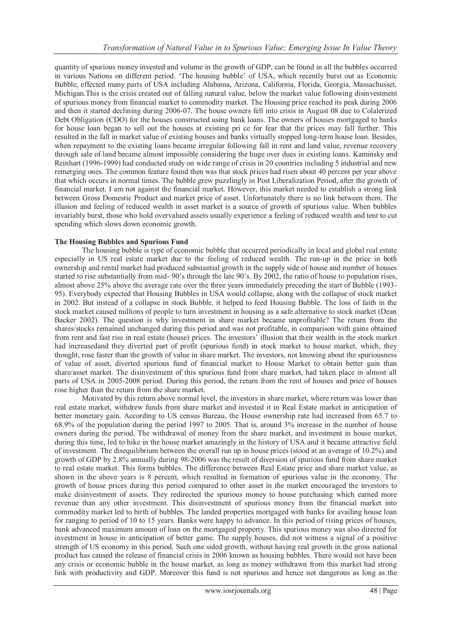quantity of spurious money invested and volume in the growth of GDP, can be found in all the bubbles occurred in various Nations on different period. ‗The housing bubble' of USA, which recently burst out as Economic Bubble, effected many parts of USA including Alabama, Arizona, California, Florida, Georgia, Massachusset, Michigan.This is the crisis created out of falling natural value, below the market value following disinvestment of spurious money from financial market to commodity market. The Housing price reached its peak during 2006 and then it started declining during 2006-07. The house owners fell into crisis in August 08 due to Colalerized Debt Obligation (CDO) for the houses constructed using bank loans. The owners of houses mortgaged to banks for house loan began to sell out the houses at existing pri ce for fear that the prices may fall further. This resulted in the fall in market value of existing houses and banks virtually stopped long-term house loan. Besides, when repayment to the existing loans became irregular following fall in rent and land value, revenue recovery through sale of land became almost impossible considering the huge over dues in existing loans. Kaminsky and Reinhart (1996-1999) had conducted study on wide range of crisis in 20 countries including 5 industrial and new remerging ones. The common feature found then was that stock prices had risen about 40 percent per year above that which occurs in normal times. The bubble grew puzzlingly in Post Liberalization Period, after the growth of financial market. I am not against the financial market. However, this market needed to establish a strong link between Gross Domestic Product and market price of asset. Unfortunately there is no link between them. The illusion and feeling of reduced wealth in asset market is a source of growth of spurious value. When bubbles invariably burst, those who hold overvalued assets usually experience a feeling of reduced wealth and tent to cut spending which slows down economic growth.

#### **The Housing Bubbles and Spurious Fund**

The housing bubble is type of economic bubble that occurred periodically in local and global real estate especially in US real estate market due to the feeling of reduced wealth. The run-up in the price in both ownership and rental market had produced substantial growth in the supply side of house and number of houses started to rise substantially from mid- 90's through the late 90's. By 2002, the ratio of house to population rises, almost above 25% above the average rate over the three years immediately preceding the start of Bubble (1993- 95). Everybody expected that Housing Bubbles in USA would collapse, along with the collapse of stock market in 2002. But instead of a collapse in stock Bubble, it helped to feed Housing Bubble. The loss of faith in the stock market caused millions of people to turn investment in housing as a safe alternative to stock market (Dean Backer 2002). The question is why investment in share market became unprofitable? The return from the shares/stocks remained unchanged during this period and was not profitable, in comparison with gains obtained from rent and fast rise in real estate (house) prices. The investors' illusion that their wealth in the stock market had increasedand they diverted part of profit (spurious fund) in stock market to house market, which, they thought, rose faster than the growth of value in share market. The investors, not knowing about the spuriousness of value of asset, diverted spurious fund of financial market to House Market to obtain better gain than share/asset market. The disinvestment of this spurious fund from share market, had taken place in almost all parts of USA in 2005-2008 period. During this period, the return from the rent of houses and price of houses rose higher than the return from the share market.

Motivated by this return above normal level, the investors in share market, where return was lower than real estate market, withdrew funds from share market and invested it in Real Estate market in anticipation of better monetary gain. According to US census Bureau, the House ownership rate had increased from 65.7 to 68.9% of the population during the period 1997 to 2005. That is, around 3% increase in the number of house owners during the period. The withdrawal of money from the share market, and investment in house market, during this time, led to hike in the house market amazingly in the history of USA and it became attractive field of investment. The disequilibrium between the overall run up in house prices (stood at an average of 10.2%) and growth of GDP by 2.8% annually during 98-2006 was the result of diversion of spurious fund from share market to real estate market. This forms bubbles. The difference between Real Estate price and share market value, as shown in the above years is 8 percent, which resulted in formation of spurious value in the economy. The growth of house prices during this period compared to other asset in the market encouraged the investors to make disinvestment of assets. They redirected the spurious money to house purchasing which earned more revenue than any other investment. This disinvestment of spurious money from the financial market into commodity market led to birth of bubbles. The landed properties mortgaged with banks for availing house loan for ranging to period of 10 to 15 years. Banks were happy to advance. In this period of rising prices of houses, bank advanced maximum amount of loan on the mortgaged property. This spurious money was also directed for investment in house in anticipation of better game. The supply houses, did not witness a signal of a positive strength of US economy in this period. Such one sided growth, without having real growth in the gross national product has caused the release of financial crisis in 2006 known as housing bubbles. There would not have been any crisis or economic bubble in the house market, as long as money withdrawn from this market had strong link with productivity and GDP. Moreover this fund is not spurious and hence not dangerous as long as the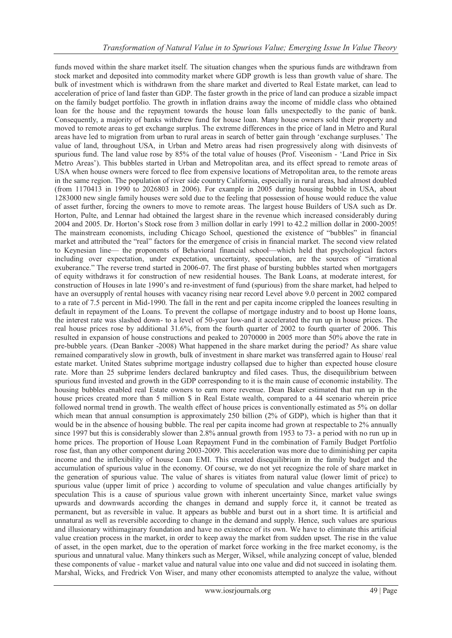funds moved within the share market itself. The situation changes when the spurious funds are withdrawn from stock market and deposited into commodity market where GDP growth is less than growth value of share. The bulk of investment which is withdrawn from the share market and diverted to Real Estate market, can lead to acceleration of price of land faster than GDP. The faster growth in the price of land can produce a sizable impact on the family budget portfolio. The growth in inflation drains away the income of middle class who obtained loan for the house and the repayment towards the house loan falls unexpectedly to the panic of bank. Consequently, a majority of banks withdrew fund for house loan. Many house owners sold their property and moved to remote areas to get exchange surplus. The extreme differences in the price of land in Metro and Rural areas have led to migration from urban to rural areas in search of better gain through 'exchange surpluses.' The value of land, throughout USA, in Urban and Metro areas had risen progressively along with disinvests of spurious fund. The land value rose by 85% of the total value of houses (Prof. Viseonism - 'Land Price in Six Metro Areas'). This bubbles started in Urban and Metropolitan area, and its effect spread to remote areas of USA when house owners were forced to flee from expensive locations of Metropolitan area, to the remote areas in the same region. The population of river side country California, especially in rural areas, had almost doubled (from 1170413 in 1990 to 2026803 in 2006). For example in 2005 during housing bubble in USA, about 1283000 new single family houses were sold due to the feeling that possession of house would reduce the value of asset further, forcing the owners to move to remote areas. The largest house Builders of USA such as Dr. Horton, Pulte, and Lennar had obtained the largest share in the revenue which increased considerably during 2004 and 2005. Dr. Horton's Stock rose from 3 million dollar in early 1991 to 42.2 million dollar in 2000-2005! The mainstream economists, including Chicago School, questioned the existence of "bubbles" in financial market and attributed the "real" factors for the emergence of crisis in financial market. The second view related to Keynesian line— the proponents of Behavioral financial school—which held that psychological factors including over expectation, under expectation, uncertainty, speculation, are the sources of "irrational" exuberance." The reverse trend started in 2006-07. The first phase of bursting bubbles started when mortgagers of equity withdraws it for construction of new residential houses. The Bank Loans, at moderate interest, for construction of Houses in late 1990's and re-investment of fund (spurious) from the share market, had helped to have an oversupply of rental houses with vacancy rising near record Level above 9.0 percent in 2002 compared to a rate of 7.5 percent in Mid-1990. The fall in the rent and per capita income crippled the loanees resulting in default in repayment of the Loans. To prevent the collapse of mortgage industry and to boost up Home loans, the interest rate was slashed down- to a level of 50-year low-and it accelerated the run up in house prices. The real house prices rose by additional 31.6%, from the fourth quarter of 2002 to fourth quarter of 2006. This resulted in expansion of house constructions and peaked to 2070000 in 2005 more than 50% above the rate in pre-bubble years. (Dean Banker -2008) What happened in the share market during the period? As share value remained comparatively slow in growth, bulk of investment in share market was transferred again to House/ real estate market. United States subprime mortgage industry collapsed due to higher than expected house closure rate. More than 25 subprime lenders declared bankruptcy and filed cases. Thus, the disequilibrium between spurious fund invested and growth in the GDP corresponding to it is the main cause of economic instability. The housing bubbles enabled real Estate owners to earn more revenue. Dean Baker estimated that run up in the house prices created more than 5 million \$ in Real Estate wealth, compared to a 44 scenario wherein price followed normal trend in growth. The wealth effect of house prices is conventionally estimated as 5% on dollar which mean that annual consumption is approximately 250 billion (2% of GDP), which is higher than that it would be in the absence of housing bubble. The real per capita income had grown at respectable to 2% annually since 1997 but this is considerably slower than 2.8% annual growth from 1953 to 73- a period with no run up in home prices. The proportion of House Loan Repayment Fund in the combination of Family Budget Portfolio rose fast, than any other component during 2003-2009. This acceleration was more due to diminishing per capita income and the inflexibility of house Loan EMI. This created disequilibrium in the family budget and the accumulation of spurious value in the economy. Of course, we do not yet recognize the role of share market in the generation of spurious value. The value of shares is vitiates from natural value (lower limit of price) to spurious value (upper limit of price ) according to volume of speculation and value changes artificially by speculation This is a cause of spurious value grown with inherent uncertainty Since, market value swings upwards and downwards according the changes in demand and supply force it, it cannot be treated as permanent, but as reversible in value. It appears as bubble and burst out in a short time. It is artificial and unnatural as well as reversible according to change in the demand and supply. Hence, such values are spurious and illusionary withimaginary foundation and have no existence of its own. We have to eliminate this artificial value creation process in the market, in order to keep away the market from sudden upset. The rise in the value of asset, in the open market, due to the operation of market force working in the free market economy, is the spurious and unnatural value. Many thinkers such as Merger, Wiksel, while analyzing concept of value, blended these components of value - market value and natural value into one value and did not succeed in isolating them. Marshal, Wicks, and Fredrick Von Wiser, and many other economists attempted to analyze the value, without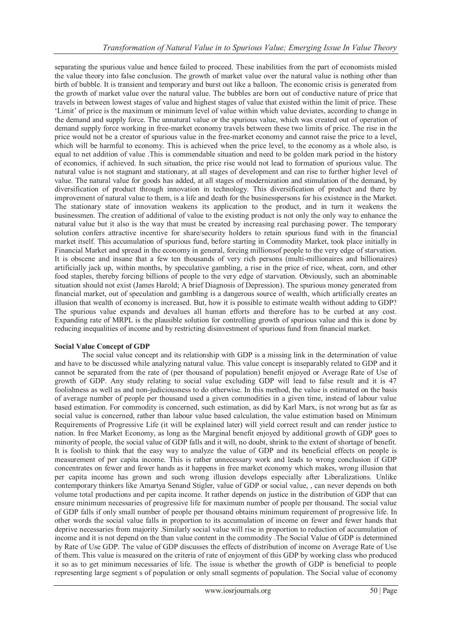separating the spurious value and hence failed to proceed. These inabilities from the part of economists misled the value theory into false conclusion. The growth of market value over the natural value is nothing other than birth of bubble. It is transient and temporary and burst out like a balloon. The economic crisis is generated from the growth of market value over the natural value. The bubbles are born out of conductive nature of price that travels in between lowest stages of value and highest stages of value that existed within the limit of price. These ‗Limit' of price is the maximum or minimum level of value within which value deviates, according to change in the demand and supply force. The unnatural value or the spurious value, which was created out of operation of demand supply force working in free-market economy travels between these two limits of price. The rise in the price would not be a creator of spurious value in the free-market economy and cannot raise the price to a level, which will be harmful to economy. This is achieved when the price level, to the economy as a whole also, is equal to net addition of value .This is commendable situation and need to be golden mark period in the history of economics, if achieved. In such situation, the price rise would not lead to formation of spurious value. The natural value is not stagnant and stationary, at all stages of development and can rise to further higher level of value. The natural value for goods has added, at all stages of modernization and stimulation of the demand, by diversification of product through innovation in technology. This diversification of product and there by improvement of natural value to them, is a life and death for the businesspersons for his existence in the Market. The stationary state of innovation weakens its application to the product, and in turn it weakens the businessmen. The creation of additional of value to the existing product is not only the only way to enhance the natural value but it also is the way that must be created by increasing real purchasing power. The temporary solution confers attractive incentive for share/security holders to retain spurious fund with in the financial market itself. This accumulation of spurious fund, before starting in Commodity Market, took place initially in Financial Market and spread in the economy in general, forcing millionsof people to the very edge of starvation. It is obscene and insane that a few ten thousands of very rich persons (multi-millionaires and billionaires) artificially jack up, within months, by speculative gambling, a rise in the price of rice, wheat, corn, and other food staples, thereby forcing billions of people to the very edge of starvation. Obviously, such an abominable situation should not exist (James Harold; A brief Diagnosis of Depression). The spurious money generated from financial market, out of speculation and gambling is a dangerous source of wealth, which artificially creates an illusion that wealth of economy is increased. But, how it is possible to estimate wealth without adding to GDP? The spurious value expands and devalues all human efforts and therefore has to be curbed at any cost. Expanding rate of MRPL is the plausible solution for controlling growth of spurious value and this is done by reducing inequalities of income and by restricting disinvestment of spurious fund from financial market.

## **Social Value Concept of GDP**

The social value concept and its relationship with GDP is a missing link in the determination of value and have to be discussed while analyzing natural value. This value concept is inseparably related to GDP and it cannot be separated from the rate of (per thousand of population) benefit enjoyed or Average Rate of Use of growth of GDP. Any study relating to social value excluding GDP will lead to false result and it is 47 foolishness as well as and non-judiciousness to do otherwise. In this method, the value is estimated on the basis of average number of people per thousand used a given commodities in a given time, instead of labour value based estimation. For commodity is concerned, such estimation, as did by Karl Marx, is not wrong but as far as social value is concerned, rather than labour value based calculation, the value estimation based on Minimum Requirements of Progressive Life (it will be explained later) will yield correct result and can render justice to nation. In free Market Economy, as long as the Marginal benefit enjoyed by additional growth of GDP goes to minority of people, the social value of GDP falls and it will, no doubt, shrink to the extent of shortage of benefit. It is foolish to think that the easy way to analyze the value of GDP and its beneficial effects on people is measurement of per capita income. This is rather unnecessary work and leads to wrong conclusion if GDP concentrates on fewer and fewer hands as it happens in free market economy which makes, wrong illusion that per capita income has grown and such wrong illusion develops especially after Liberalizations. Unlike contemporary thinkers like Amartya Senand Stigler, value of GDP or social value, , can never depends on both volume total productions and per capita income. It rather depends on justice in the distribution of GDP that can ensure minimum necessaries of progressive life for maximum number of people per thousand. The social value of GDP falls if only small number of people per thousand obtains minimum requirement of progressive life. In other words the social value falls in proportion to its accumulation of income on fewer and fewer hands that deprive necessaries from majority .Similarly social value will rise in proportion to reduction of accumulation of income and it is not depend on the than value content in the commodity .The Social Value of GDP is determined by Rate of Use GDP. The value of GDP discusses the effects of distribution of income on Average Rate of Use of them. This value is measured on the criteria of rate of enjoyment of this GDP by working class who produced it so as to get minimum necessaries of life. The issue is whether the growth of GDP is beneficial to people representing large segment s of population or only small segments of population. The Social value of economy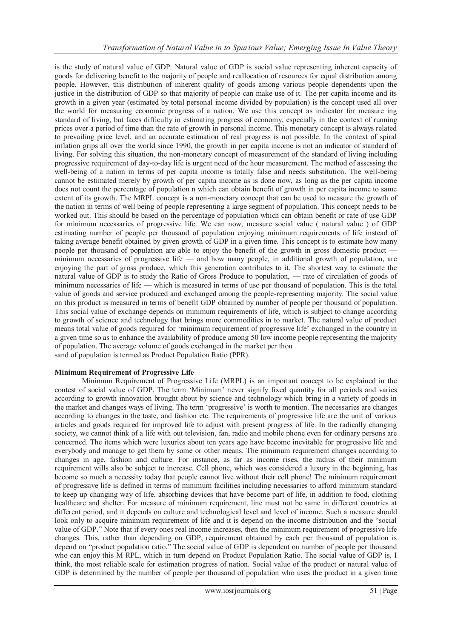is the study of natural value of GDP. Natural value of GDP is social value representing inherent capacity of goods for delivering benefit to the majority of people and reallocation of resources for equal distribution among people. However, this distribution of inherent quality of goods among various people dependents upon the justice in the distribution of GDP so that majority of people can make use of it. The per capita income and its growth in a given year (estimated by total personal income divided by population) is the concept used all over the world for measuring economic progress of a nation. We use this concept as indicator for measure ing standard of living, but faces difficulty in estimating progress of economy, especially in the context of running prices over a period of time than the rate of growth in personal income. This monetary concept is always related to prevailing price level, and an accurate estimation of real progress is not possible. In the context of spiral inflation grips all over the world since 1990, the growth in per capita income is not an indicator of standard of living. For solving this situation, the non-monetary concept of measurement of the standard of living including progressive requirement of day-to-day life is urgent need of the hour measurement. The method of assessing the well-being of a nation in terms of per capita income is totally false and needs substitution. The well-being cannot be estimated merely by growth of per capita income as is done now, as long as the per capita income does not count the percentage of population n which can obtain benefit of growth in per capita income to same extent of its growth. The MRPL concept is a non-monetary concept that can be used to measure the growth of the nation in terms of well being of people representing a large segment of population. This concept needs to be worked out. This should be based on the percentage of population which can obtain benefit or rate of use GDP for minimum necessaries of progressive life. We can now, measure social value ( natural value ) of GDP estimating number of people per thousand of population enjoying minimum requirements of life instead of taking average benefit obtained by given growth of GDP in a given time. This concept is to estimate how many people per thousand of population are able to enjoy the benefit of the growth in gross domestic product minimum necessaries of progressive life — and how many people, in additional growth of population, are enjoying the part of gross produce, which this generation contributes to it. The shortest way to estimate the natural value of GDP is to study the Ratio of Gross Produce to population, — rate of circulation of goods of minimum necessaries of life — which is measured in terms of use per thousand of population. This is the total value of goods and service produced and exchanged among the people-representing majority. The social value on this product is measured in terms of benefit GDP obtained by number of people per thousand of population. This social value of exchange depends on minimum requirements of life, which is subject to change according to growth of science and technology that brings more commodities in to market. The natural value of product means total value of goods required for 'minimum requirement of progressive life' exchanged in the country in a given time so as to enhance the availability of produce among 50 low income people representing the majority of population. The average volume of goods exchanged in the market per thou sand of population is termed as Product Population Ratio (PPR).

## **Minimum Requirement of Progressive Life**

Minimum Requirement of Progressive Life (MRPL) is an important concept to be explained in the contest of social value of GDP. The term 'Minimum' never signify fixed quantity for all periods and varies according to growth innovation brought about by science and technology which bring in a variety of goods in the market and changes ways of living. The term 'progressive' is worth to mention. The necessaries are changes according to changes in the taste, and fashion etc. The requirements of progressive life are the unit of various articles and goods required for improved life to adjust with present progress of life. In the radically changing society, we cannot think of a life with out television, fan, radio and mobile phone even for ordinary persons are concerned. The items which were luxuries about ten years ago have become inevitable for progressive life and everybody and manage to get them by some or other means. The minimum requirement changes according to changes in age, fashion and culture. For instance, as far as income rises, the radius of their minimum requirement wills also be subject to increase. Cell phone, which was considered a luxury in the beginning, has become so much a necessity today that people cannot live without their cell phone! The minimum requirement of progressive life is defined in terms of minimum facilities including necessaries to afford minimum standard to keep up changing way of life, absorbing devices that have become part of life, in addition to food, clothing healthcare and shelter. For measure of minimum requirement, line must not be same in different countries at different period, and it depends on culture and technological level and level of income. Such a measure should look only to acquire minimum requirement of life and it is depend on the income distribution and the "social" value of GDP." Note that if every ones real income increases, then the minimum requirement of progressive life changes. This, rather than depending on GDP, requirement obtained by each per thousand of population is depend on "product population ratio." The social value of GDP is dependent on number of people per thousand who can enjoy this M RPL, which in turn depend on Product Population Ratio. The social value of GDP is, I think, the most reliable scale for estimation progress of nation. Social value of the product or natural value of GDP is determined by the number of people per thousand of population who uses the product in a given time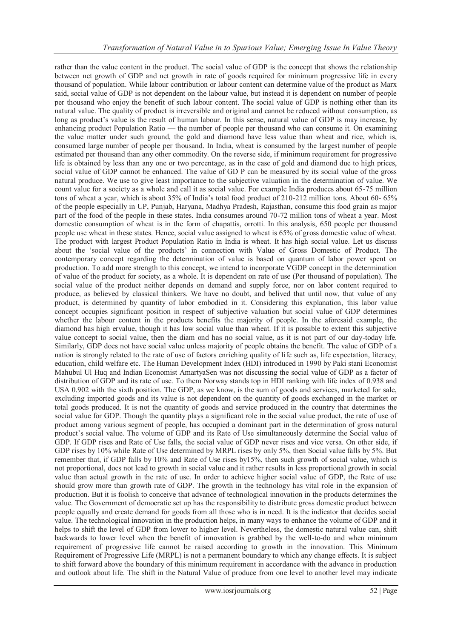rather than the value content in the product. The social value of GDP is the concept that shows the relationship between net growth of GDP and net growth in rate of goods required for minimum progressive life in every thousand of population. While labour contribution or labour content can determine value of the product as Marx said, social value of GDP is not dependent on the labour value, but instead it is dependent on number of people per thousand who enjoy the benefit of such labour content. The social value of GDP is nothing other than its natural value. The quality of product is irreversible and original and cannot be reduced without consumption, as long as product's value is the result of human labour. In this sense, natural value of GDP is may increase, by enhancing product Population Ratio — the number of people per thousand who can consume it. On examining the value matter under such ground, the gold and diamond have less value than wheat and rice, which is, consumed large number of people per thousand. In India, wheat is consumed by the largest number of people estimated per thousand than any other commodity. On the reverse side, if minimum requirement for progressive life is obtained by less than any one or two percentage, as in the case of gold and diamond due to high prices, social value of GDP cannot be enhanced. The value of GD P can be measured by its social value of the gross natural produce. We use to give least importance to the subjective valuation in the determination of value. We count value for a society as a whole and call it as social value. For example India produces about 65-75 million tons of wheat a year, which is about 35% of India's total food product of 210-212 million tons. About 60- 65% of the people especially in UP, Punjab, Haryana, Madhya Pradesh, Rajasthan, consume this food grain as major part of the food of the people in these states. India consumes around 70-72 million tons of wheat a year. Most domestic consumption of wheat is in the form of chapattis, orrotti. In this analysis, 650 people per thousand people use wheat in these states. Hence, social value assigned to wheat is 65% of gross domestic value of wheat. The product with largest Product Population Ratio in India is wheat. It has high social value. Let us discuss about the 'social value of the products' in connection with Value of Gross Domestic of Product. The contemporary concept regarding the determination of value is based on quantum of labor power spent on production. To add more strength to this concept, we intend to incorporate VGDP concept in the determination of value of the product for society, as a whole. It is dependent on rate of use (Per thousand of population). The social value of the product neither depends on demand and supply force, nor on labor content required to produce, as believed by classical thinkers. We have no doubt, and belived that until now, that value of any product, is determined by quantity of labor embodied in it. Considering this explanation, this labor value concept occupies significant position in respect of subjective valuation but social value of GDP determines whether the labour content in the products benefits the majority of people. In the aforesaid example, the diamond has high ervalue, though it has low social value than wheat. If it is possible to extent this subjective value concept to social value, then the diam ond has no social value, as it is not part of our day-today life. Similarly, GDP does not have social value unless majority of people obtains the benefit. The value of GDP of a nation is strongly related to the rate of use of factors enriching quality of life such as, life expectation, literacy, education, child welfare etc. The Human Development Index (HDI) introduced in 1990 by Paki stani Economist Mahubul Ul Huq and Indian Economist AmartyaSen was not discussing the social value of GDP as a factor of distribution of GDP and its rate of use. To them Norway stands top in HDI ranking with life index of 0.938 and USA 0.902 with the sixth position. The GDP, as we know, is the sum of goods and services, marketed for sale, excluding imported goods and its value is not dependent on the quantity of goods exchanged in the market or total goods produced. It is not the quantity of goods and service produced in the country that determines the social value for GDP. Though the quantity plays a significant role in the social value product, the rate of use of product among various segment of people, has occupied a dominant part in the determination of gross natural product's social value. The volume of GDP and its Rate of Use simultaneously determine the Social value of GDP. If GDP rises and Rate of Use falls, the social value of GDP never rises and vice versa. On other side, if GDP rises by 10% while Rate of Use determined by MRPL rises by only 5%, then Social value falls by 5%. But remember that, if GDP falls by 10% and Rate of Use rises by15%, then such growth of social value, which is not proportional, does not lead to growth in social value and it rather results in less proportional growth in social value than actual growth in the rate of use. In order to achieve higher social value of GDP, the Rate of use should grow more than growth rate of GDP. The growth in the technology has vital role in the expansion of production. But it is foolish to conceive that advance of technological innovation in the products determines the value. The Government of democratic set up has the responsibility to distribute gross domestic product between people equally and create demand for goods from all those who is in need. It is the indicator that decides social value. The technological innovation in the production helps, in many ways to enhance the volume of GDP and it helps to shift the level of GDP from lower to higher level. Nevertheless, the domestic natural value can, shift backwards to lower level when the benefit of innovation is grabbed by the well-to-do and when minimum requirement of progressive life cannot be raised according to growth in the innovation. This Minimum Requirement of Progressive Life (MRPL) is not a permanent boundary to which any change effects. It is subject to shift forward above the boundary of this minimum requirement in accordance with the advance in production and outlook about life. The shift in the Natural Value of produce from one level to another level may indicate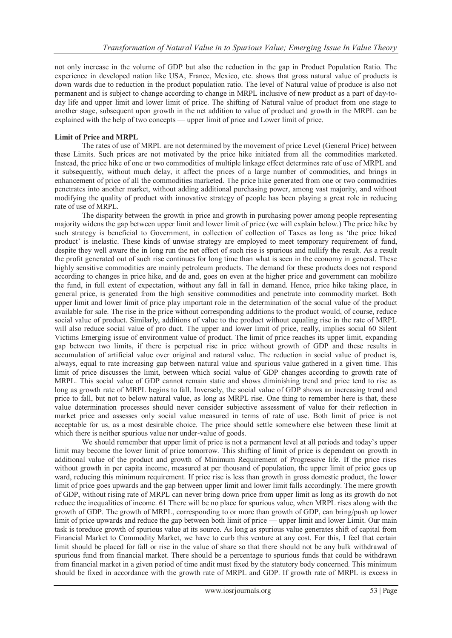not only increase in the volume of GDP but also the reduction in the gap in Product Population Ratio. The experience in developed nation like USA, France, Mexico, etc. shows that gross natural value of products is down wards due to reduction in the product population ratio. The level of Natural value of produce is also not permanent and is subject to change according to change in MRPL inclusive of new product as a part of day-today life and upper limit and lower limit of price. The shifting of Natural value of product from one stage to another stage, subsequent upon growth in the net addition to value of product and growth in the MRPL can be explained with the help of two concepts — upper limit of price and Lower limit of price.

#### **Limit of Price and MRPL**

The rates of use of MRPL are not determined by the movement of price Level (General Price) between these Limits. Such prices are not motivated by the price hike initiated from all the commodities marketed. Instead, the price hike of one or two commodities of multiple linkage effect determines rate of use of MRPL and it subsequently, without much delay, it affect the prices of a large number of commodities, and brings in enhancement of price of all the commodities marketed. The price hike generated from one or two commodities penetrates into another market, without adding additional purchasing power, among vast majority, and without modifying the quality of product with innovative strategy of people has been playing a great role in reducing rate of use of MRPL.

The disparity between the growth in price and growth in purchasing power among people representing majority widens the gap between upper limit and lower limit of price (we will explain below.) The price hike by such strategy is beneficial to Government, in collection of collection of Taxes as long as 'the price hiked product' is inelastic. These kinds of unwise strategy are employed to meet temporary requirement of fund, despite they well aware the in long run the net effect of such rise is spurious and nullify the result. As a result the profit generated out of such rise continues for long time than what is seen in the economy in general. These highly sensitive commodities are mainly petroleum products. The demand for these products does not respond according to changes in price hike, and de and, goes on even at the higher price and government can mobilize the fund, in full extent of expectation, without any fall in fall in demand. Hence, price hike taking place, in general price, is generated from the high sensitive commodities and penetrate into commodity market. Both upper limit and lower limit of price play important role in the determination of the social value of the product available for sale. The rise in the price without corresponding additions to the product would, of course, reduce social value of product. Similarly, additions of value to the product without equaling rise in the rate of MRPL will also reduce social value of pro duct. The upper and lower limit of price, really, implies social 60 Silent Victims Emerging issue of environment value of product. The limit of price reaches its upper limit, expanding gap between two limits, if there is perpetual rise in price without growth of GDP and these results in accumulation of artificial value over original and natural value. The reduction in social value of product is, always, equal to rate increasing gap between natural value and spurious value gathered in a given time. This limit of price discusses the limit, between which social value of GDP changes according to growth rate of MRPL. This social value of GDP cannot remain static and shows diminishing trend and price tend to rise as long as growth rate of MRPL begins to fall. Inversely, the social value of GDP shows an increasing trend and price to fall, but not to below natural value, as long as MRPL rise. One thing to remember here is that, these value determination processes should never consider subjective assessment of value for their reflection in market price and assesses only social value measured in terms of rate of use. Both limit of price is not acceptable for us, as a most desirable choice. The price should settle somewhere else between these limit at which there is neither spurious value nor under-value of goods.

We should remember that upper limit of price is not a permanent level at all periods and today's upper limit may become the lower limit of price tomorrow. This shifting of limit of price is dependent on growth in additional value of the product and growth of Minimum Requirement of Progressive life. If the price rises without growth in per capita income, measured at per thousand of population, the upper limit of price goes up ward, reducing this minimum requirement. If price rise is less than growth in gross domestic product, the lower limit of price goes upwards and the gap between upper limit and lower limit falls accordingly. The mere growth of GDP, without rising rate of MRPL can never bring down price from upper limit as long as its growth do not reduce the inequalities of income. 61 There will be no place for spurious value, when MRPL rises along with the growth of GDP. The growth of MRPL, corresponding to or more than growth of GDP, can bring/push up lower limit of price upwards and reduce the gap between both limit of price — upper limit and lower Limit. Our main task is toreduce growth of spurious value at its source. As long as spurious value generates shift of capital from Financial Market to Commodity Market, we have to curb this venture at any cost. For this, I feel that certain limit should be placed for fall or rise in the value of share so that there should not be any bulk withdrawal of spurious fund from financial market. There should be a percentage to spurious funds that could be withdrawn from financial market in a given period of time andit must fixed by the statutory body concerned. This minimum should be fixed in accordance with the growth rate of MRPL and GDP. If growth rate of MRPL is excess in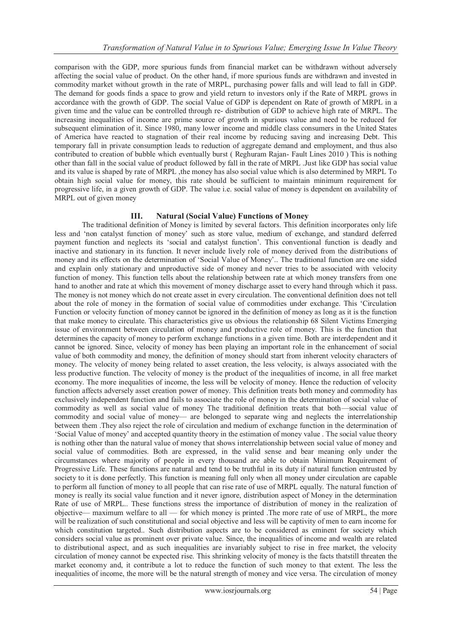comparison with the GDP, more spurious funds from financial market can be withdrawn without adversely affecting the social value of product. On the other hand, if more spurious funds are withdrawn and invested in commodity market without growth in the rate of MRPL, purchasing power falls and will lead to fall in GDP. The demand for goods finds a space to grow and yield return to investors only if the Rate of MRPL grows in accordance with the growth of GDP. The social Value of GDP is dependent on Rate of growth of MRPL in a given time and the value can be controlled through re- distribution of GDP to achieve high rate of MRPL. The increasing inequalities of income are prime source of growth in spurious value and need to be reduced for subsequent elimination of it. Since 1980, many lower income and middle class consumers in the United States of America have reacted to stagnation of their real income by reducing saving and increasing Debt. This temporary fall in private consumption leads to reduction of aggregate demand and employment, and thus also contributed to creation of bubble which eventually burst ( Reghuram Rajan- Fault Lines 2010 ) This is nothing other than fall in the social value of product followed by fall in the rate of MRPL .Just like GDP has social value and its value is shaped by rate of MRPL, the money has also social value which is also determined by MRPL To obtain high social value for money, this rate should be sufficient to maintain minimum requirement for progressive life, in a given growth of GDP. The value i.e. social value of money is dependent on availability of MRPL out of given money

## **III. Natural (Social Value) Functions of Money**

The traditional definition of Money is limited by several factors. This definition incorporates only life less and ‗non catalyst function of money' such as store value, medium of exchange, and standard deferred payment function and neglects its ‗social and catalyst function'. This conventional function is deadly and inactive and stationary in its function. It never include lively role of money derived from the distributions of money and its effects on the determination of ‗Social Value of Money'.. The traditional function are one sided and explain only stationary and unproductive side of money and never tries to be associated with velocity function of money. This function tells about the relationship between rate at which money transfers from one hand to another and rate at which this movement of money discharge asset to every hand through which it pass. The money is not money which do not create asset in every circulation. The conventional definition does not tell about the role of money in the formation of social value of commodities under exchange. This 'Circulation' Function or velocity function of money cannot be ignored in the definition of money as long as it is the function that make money to circulate. This characteristics give us obvious the relationship 68 Silent Victims Emerging issue of environment between circulation of money and productive role of money. This is the function that determines the capacity of money to perform exchange functions in a given time. Both are interdependent and it cannot be ignored. Since, velocity of money has been playing an important role in the enhancement of social value of both commodity and money, the definition of money should start from inherent velocity characters of money. The velocity of money being related to asset creation, the less velocity, is always associated with the less productive function. The velocity of money is the product of the inequalities of income, in all free market economy. The more inequalities of income, the less will be velocity of money. Hence the reduction of velocity function affects adversely asset creation power of money. This definition treats both money and commodity has exclusively independent function and fails to associate the role of money in the determination of social value of commodity as well as social value of money The traditional definition treats that both—social value of commodity and social value of money— are belonged to separate wing and neglects the interrelationship between them .They also reject the role of circulation and medium of exchange function in the determination of ‗Social Value of money' and accepted quantity theory in the estimation of money value . The social value theory is nothing other than the natural value of money that shows interrelationship between social value of money and social value of commodities. Both are expressed, in the valid sense and bear meaning only under the circumstances where majority of people in every thousand are able to obtain Minimum Requirement of Progressive Life. These functions are natural and tend to be truthful in its duty if natural function entrusted by society to it is done perfectly. This function is meaning full only when all money under circulation are capable to perform all function of money to all people that can rise rate of use of MRPL equally. The natural function of money is really its social value function and it never ignore, distribution aspect of Money in the determination Rate of use of MRPL.. These functions stress the importance of distribution of money in the realization of objective— maximum welfare to all — for which money is printed .The more rate of use of MRPL, the more will be realization of such constitutional and social objective and less will be captivity of men to earn income for which constitution targeted.. Such distribution aspects are to be considered as eminent for society which considers social value as prominent over private value. Since, the inequalities of income and wealth are related to distributional aspect, and as such inequalities are invariably subject to rise in free market, the velocity circulation of money cannot be expected rise. This shrinking velocity of money is the facts thatstill threaten the market economy and, it contribute a lot to reduce the function of such money to that extent. The less the inequalities of income, the more will be the natural strength of money and vice versa. The circulation of money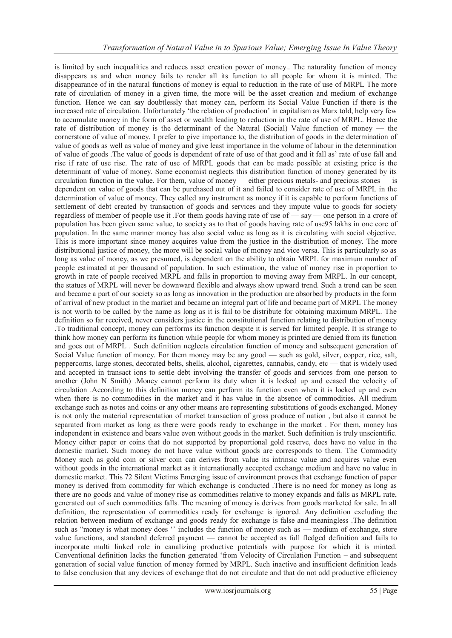is limited by such inequalities and reduces asset creation power of money.. The naturality function of money disappears as and when money fails to render all its function to all people for whom it is minted. The disappearance of in the natural functions of money is equal to reduction in the rate of use of MRPL The more rate of circulation of money in a given time, the more will be the asset creation and medium of exchange function. Hence we can say doubtlessly that money can, perform its Social Value Function if there is the increased rate of circulation. Unfortunately 'the relation of production' in capitalism as Marx told, help very few to accumulate money in the form of asset or wealth leading to reduction in the rate of use of MRPL. Hence the rate of distribution of money is the determinant of the Natural (Social) Value function of money — the cornerstone of value of money. I prefer to give importance to, the distribution of goods in the determination of value of goods as well as value of money and give least importance in the volume of labour in the determination of value of goods .The value of goods is dependent of rate of use of that good and it fall as' rate of use fall and rise if rate of use rise. The rate of use of MRPL goods that can be made possible at existing price is the determinant of value of money. Some economist neglects this distribution function of money generated by its circulation function in the value. For them, value of money — either precious metals- and precious stones — is dependent on value of goods that can be purchased out of it and failed to consider rate of use of MRPL in the determination of value of money. They called any instrument as money if it is capable to perform functions of settlement of debt created by transaction of goods and services and they impute value to goods for society regardless of member of people use it .For them goods having rate of use of — say — one person in a crore of population has been given same value, to society as to that of goods having rate of use95 lakhs in one core of population. In the same manner money has also social value as long as it is circulating with social objective. This is more important since money acquires value from the justice in the distribution of money. The more distributional justice of money, the more will be social value of money and vice versa. This is particularly so as long as value of money, as we presumed, is dependent on the ability to obtain MRPL for maximum number of people estimated at per thousand of population. In such estimation, the value of money rise in proportion to growth in rate of people received MRPL and falls in proportion to moving away from MRPL. In our concept, the statues of MRPL will never be downward flexible and always show upward trend. Such a trend can be seen and became a part of our society so as long as innovation in the production are absorbed by products in the form of arrival of new product in the market and became an integral part of life and became part of MRPL The money is not worth to be called by the name as long as it is fail to be distribute for obtaining maximum MRPL. The definition so far received, never considers justice in the constitutional function relating to distribution of money .To traditional concept, money can performs its function despite it is served for limited people. It is strange to think how money can perform its function while people for whom money is printed are denied from its function and goes out of MRPL . Such definition neglects circulation function of money and subsequent generation of Social Value function of money. For them money may be any good — such as gold, silver, copper, rice, salt, peppercorns, large stones, decorated belts, shells, alcohol, cigarettes, cannabis, candy, etc — that is widely used and accepted in transact ions to settle debt involving the transfer of goods and services from one person to another (John N Smith) .Money cannot perform its duty when it is locked up and ceased the velocity of circulation .According to this definition money can perform its function even when it is locked up and even when there is no commodities in the market and it has value in the absence of commodities. All medium exchange such as notes and coins or any other means are representing substitutions of goods exchanged. Money is not only the material representation of market transaction of gross produce of nation , but also it cannot be separated from market as long as there were goods ready to exchange in the market . For them, money has independent in existence and bears value even without goods in the market. Such definition is truly unscientific. Money either paper or coins that do not supported by proportional gold reserve, does have no value in the domestic market. Such money do not have value without goods are corresponds to them. The Commodity Money such as gold coin or silver coin can derives from value its intrinsic value and acquires value even without goods in the international market as it internationally accepted exchange medium and have no value in domestic market. This 72 Silent Victims Emerging issue of environment proves that exchange function of paper money is derived from commodity for which exchange is conducted .There is no need for money as long as there are no goods and value of money rise as commodities relative to money expands and falls as MRPL rate, generated out of such commodities falls. The meaning of money is derives from goods marketed for sale. In all definition, the representation of commodities ready for exchange is ignored. Any definition excluding the relation between medium of exchange and goods ready for exchange is false and meaningless .The definition such as "money is what money does" includes the function of money such as — medium of exchange, store value functions, and standard deferred payment — cannot be accepted as full fledged definition and fails to incorporate multi linked role in canalizing productive potentials with purpose for which it is minted. Conventional definition lacks the function generated ‗from Velocity of Circulation Function – and subsequent generation of social value function of money formed by MRPL. Such inactive and insufficient definition leads to false conclusion that any devices of exchange that do not circulate and that do not add productive efficiency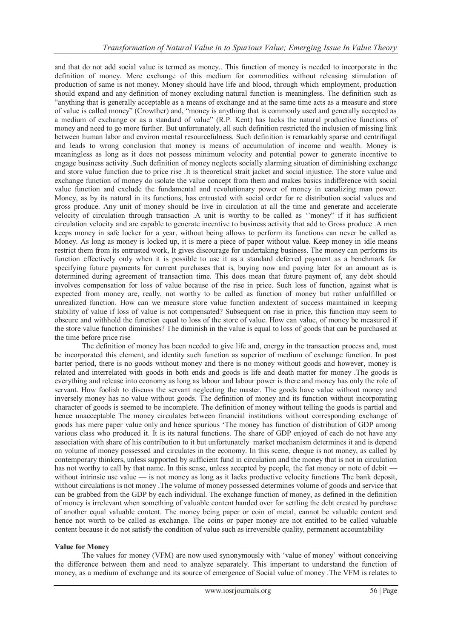and that do not add social value is termed as money.. This function of money is needed to incorporate in the definition of money. Mere exchange of this medium for commodities without releasing stimulation of production of same is not money. Money should have life and blood, through which employment, production should expand and any definition of money excluding natural function is meaningless. The definition such as ―anything that is generally acceptable as a means of exchange and at the same time acts as a measure and store of value is called money" (Crowther) and, "money is anything that is commonly used and generally accepted as a medium of exchange or as a standard of value" (R.P. Kent) has lacks the natural productive functions of money and need to go more further. But unfortunately, all such definition restricted the inclusion of missing link between human labor and environ mental resourcefulness. Such definition is remarkably sparse and centrifugal and leads to wrong conclusion that money is means of accumulation of income and wealth. Money is meaningless as long as it does not possess minimum velocity and potential power to generate incentive to engage business activity .Such definition of money neglects socially alarming situation of diminishing exchange and store value function due to price rise .It is theoretical strait jacket and social injustice. The store value and exchange function of money do isolate the value concept from them and makes basics indifference with social value function and exclude the fundamental and revolutionary power of money in canalizing man power. Money, as by its natural in its functions, has entrusted with social order for re distribution social values and gross produce. Any unit of money should be live in circulation at all the time and generate and accelerate velocity of circulation through transaction .A unit is worthy to be called as "money" if it has sufficient circulation velocity and are capable to generate incentive to business activity that add to Gross produce .A men keeps money in safe locker for a year, without being allows to perform its functions can never be called as Money. As long as money is locked up, it is mere a piece of paper without value. Keep money in idle means restrict them from its entrusted work, It gives discourage for undertaking business. The money can performs its function effectively only when it is possible to use it as a standard deferred payment as a benchmark for specifying future payments for current purchases that is, buying now and paying later for an amount as is determined during agreement of transaction time. This does mean that future payment of, any debt should involves compensation for loss of value because of the rise in price. Such loss of function, against what is expected from money are, really, not worthy to be called as function of money but rather unfulfilled or unrealized function. How can we measure store value function andextent of success maintained in keeping stability of value if loss of value is not compensated? Subsequent on rise in price, this function may seem to obscure and withhold the function equal to loss of the store of value. How can value, of money be measured if the store value function diminishes? The diminish in the value is equal to loss of goods that can be purchased at the time before price rise

The definition of money has been needed to give life and, energy in the transaction process and, must be incorporated this element, and identity such function as superior of medium of exchange function. In post barter period, there is no goods without money and there is no money without goods and however, money is related and interrelated with goods in both ends and goods is life and death matter for money .The goods is everything and release into economy as long as labour and labour power is there and money has only the role of servant. How foolish to discuss the servant neglecting the master. The goods have value without money and inversely money has no value without goods. The definition of money and its function without incorporating character of goods is seemed to be incomplete. The definition of money without telling the goods is partial and hence unacceptable The money circulates between financial institutions without corresponding exchange of goods has mere paper value only and hence spurious ‗The money has function of distribution of GDP among various class who produced it. It is its natural functions. The share of GDP enjoyed of each do not have any association with share of his contribution to it but unfortunately market mechanism determines it and is depend on volume of money possessed and circulates in the economy. In this scene, cheque is not money, as called by contemporary thinkers, unless supported by sufficient fund in circulation and the money that is not in circulation has not worthy to call by that name. In this sense, unless accepted by people, the fiat money or note of debit without intrinsic use value — is not money as long as it lacks productive velocity functions The bank deposit, without circulations is not money .The volume of money possessed determines volume of goods and service that can be grabbed from the GDP by each individual. The exchange function of money, as defined in the definition of money is irrelevant when something of valuable content handed over for settling the debt created by purchase of another equal valuable content. The money being paper or coin of metal, cannot be valuable content and hence not worth to be called as exchange. The coins or paper money are not entitled to be called valuable content because it do not satisfy the condition of value such as irreversible quality, permanent accountability

#### **Value for Money**

The values for money (VFM) are now used synonymously with 'value of money' without conceiving the difference between them and need to analyze separately. This important to understand the function of money, as a medium of exchange and its source of emergence of Social value of money .The VFM is relates to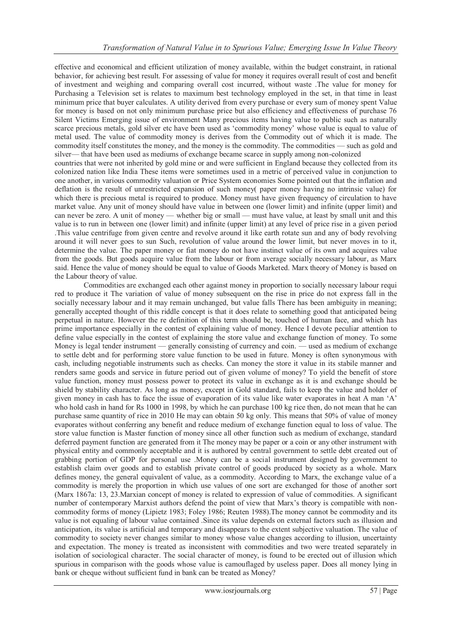effective and economical and efficient utilization of money available, within the budget constraint, in rational behavior, for achieving best result. For assessing of value for money it requires overall result of cost and benefit of investment and weighing and comparing overall cost incurred, without waste .The value for money for Purchasing a Television set is relates to maximum best technology employed in the set, in that time in least minimum price that buyer calculates. A utility derived from every purchase or every sum of money spent Value for money is based on not only minimum purchase price but also efficiency and effectiveness of purchase 76 Silent Victims Emerging issue of environment Many precious items having value to public such as naturally scarce precious metals, gold silver etc have been used as 'commodity money' whose value is equal to value of metal used. The value of commodity money is derives from the Commodity out of which it is made. The commodity itself constitutes the money, and the money is the commodity. The commodities — such as gold and silver— that have been used as mediums of exchange became scarce in supply among non-colonized countries that were not inherited by gold mine or and were sufficient in England because they collected from its colonized nation like India These items were sometimes used in a metric of perceived value in conjunction to one another, in various commodity valuation or Price System economies Some pointed out that the inflation and deflation is the result of unrestricted expansion of such money( paper money having no intrinsic value) for which there is precious metal is required to produce. Money must have given frequency of circulation to have market value. Any unit of money should have value in between one (lower limit) and infinite (upper limit) and can never be zero. A unit of money — whether big or small — must have value, at least by small unit and this value is to run in between one (lower limit) and infinite (upper limit) at any level of price rise in a given period .This value centrifuge from given centre and revolve around it like earth rotate sun and any of body revolving around it will never goes to sun Such, revolution of value around the lower limit, but never moves in to it, determine the value. The paper money or fiat money do not have instinct value of its own and acquires value from the goods. But goods acquire value from the labour or from average socially necessary labour, as Marx said. Hence the value of money should be equal to value of Goods Marketed. Marx theory of Money is based on

the Labour theory of value.

Commodities are exchanged each other against money in proportion to socially necessary labour requi red to produce it The variation of value of money subsequent on the rise in price do not express fall in the socially necessary labour and it may remain unchanged, but value falls There has been ambiguity in meaning; generally accepted thought of this riddle concept is that it does relate to something good that anticipated being perpetual in nature. However the re definition of this term should be, touched of human face, and which has prime importance especially in the contest of explaining value of money. Hence I devote peculiar attention to define value especially in the contest of explaining the store value and exchange function of money. To some Money is legal tender instrument — generally consisting of currency and coin. — used as medium of exchange to settle debt and for performing store value function to be used in future. Money is often synonymous with cash, including negotiable instruments such as checks. Can money the store it value in its stabile manner and renders same goods and service in future period out of given volume of money? To yield the benefit of store value function, money must possess power to protect its value in exchange as it is and exchange should be shield by stability character. As long as money, except in Gold standard, fails to keep the value and holder of given money in cash has to face the issue of evaporation of its value like water evaporates in heat A man 'A' who hold cash in hand for Rs 1000 in 1998, by which he can purchase 100 kg rice then, do not mean that he can purchase same quantity of rice in 2010 He may can obtain 50 kg only. This means that 50% of value of money evaporates without conferring any benefit and reduce medium of exchange function equal to loss of value. The store value function is Master function of money since all other function such as medium of exchange, standard deferred payment function are generated from it The money may be paper or a coin or any other instrument with physical entity and commonly acceptable and it is authored by central government to settle debt created out of grabbing portion of GDP for personal use .Money can be a social instrument designed by government to establish claim over goods and to establish private control of goods produced by society as a whole. Marx defines money, the general equivalent of value, as a commodity. According to Marx, the exchange value of a commodity is merely the proportion in which use values of one sort are exchanged for those of another sort (Marx 1867a: 13, 23.Marxian concept of money is related to expression of value of commodities. A significant number of contemporary Marxist authors defend the point of view that Marx's theory is compatible with noncommodity forms of money (Lipietz 1983; Foley 1986; Reuten 1988).The money cannot be commodity and its value is not equaling of labour value contained .Since its value depends on external factors such as illusion and anticipation, its value is artificial and temporary and disappears to the extent subjective valuation. The value of commodity to society never changes similar to money whose value changes according to illusion, uncertainty and expectation. The money is treated as inconsistent with commodities and two were treated separately in isolation of sociological character. The social character of money, is found to be erected out of illusion which spurious in comparison with the goods whose value is camouflaged by useless paper. Does all money lying in bank or cheque without sufficient fund in bank can be treated as Money?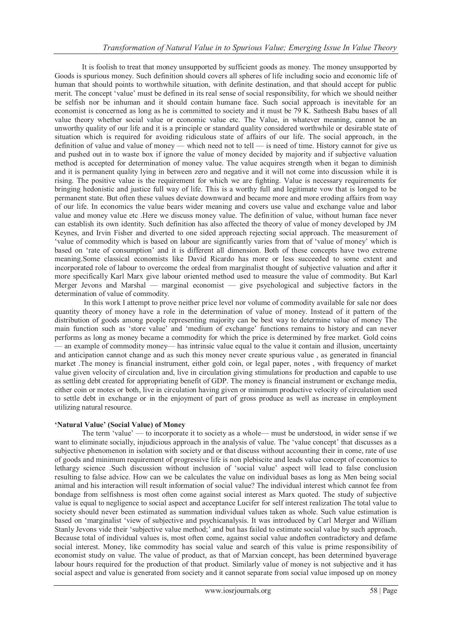It is foolish to treat that money unsupported by sufficient goods as money. The money unsupported by Goods is spurious money. Such definition should covers all spheres of life including socio and economic life of human that should points to worthwhile situation, with definite destination, and that should accept for public merit. The concept 'value' must be defined in its real sense of social responsibility, for which we should neither be selfish nor be inhuman and it should contain humane face. Such social approach is inevitable for an economist is concerned as long as he is committed to society and it must be 79 K. Satheesh Babu bases of all value theory whether social value or economic value etc. The Value, in whatever meaning, cannot be an unworthy quality of our life and it is a principle or standard quality considered worthwhile or desirable state of situation which is required for avoiding ridiculous state of affairs of our life. The social approach, in the definition of value and value of money — which need not to tell — is need of time. History cannot for give us and pushed out in to waste box if ignore the value of money decided by majority and if subjective valuation method is accepted for determination of money value. The value acquires strength when it began to diminish and it is permanent quality lying in between zero and negative and it will not come into discussion while it is rising. The positive value is the requirement for which we are fighting. Value is necessary requirements for bringing hedonistic and justice full way of life. This is a worthy full and legitimate vow that is longed to be permanent state. But often these values deviate downward and became more and more eroding affairs from way of our life. In economics the value bears wider meaning and covers use value and exchange value and labor value and money value etc .Here we discuss money value. The definition of value, without human face never can establish its own identity. Such definition has also affected the theory of value of money developed by JM Keynes, and Irvin Fisher and diverted to one sided approach rejecting social approach. The measurement of ‗value of commodity which is based on labour are significantly varies from that of ‗value of money' which is based on 'rate of consumption' and it is different all dimension. Both of these concepts have two extreme meaning.Some classical economists like David Ricardo has more or less succeeded to some extent and incorporated role of labour to overcome the ordeal from marginalist thought of subjective valuation and after it more specifically Karl Marx give labour oriented method used to measure the value of commodity. But Karl Merger Jevons and Marshal — marginal economist — give psychological and subjective factors in the determination of value of commodity.

In this work I attempt to prove neither price level nor volume of commodity available for sale nor does quantity theory of money have a role in the determination of value of money. Instead of it pattern of the distribution of goods among people representing majority can be best way to determine value of money The main function such as 'store value' and 'medium of exchange' functions remains to history and can never performs as long as money became a commodity for which the price is determined by free market. Gold coins — an example of commodity money— has intrinsic value equal to the value it contain and illusion, uncertainty and anticipation cannot change and as such this money never create spurious value , as generated in financial market .The money is financial instrument, either gold coin, or legal paper, notes , with frequency of market value given velocity of circulation and, live in circulation giving stimulations for production and capable to use as settling debt created for appropriating benefit of GDP. The money is financial instrument or exchange media, either coin or motes or both, live in circulation having given or minimum productive velocity of circulation used to settle debt in exchange or in the enjoyment of part of gross produce as well as increase in employment utilizing natural resource.

#### **'Natural Value' (Social Value) of Money**

The term 'value' — to incorporate it to society as a whole— must be understood, in wider sense if we want to eliminate socially, injudicious approach in the analysis of value. The 'value concept' that discusses as a subjective phenomenon in isolation with society and or that discuss without accounting their in come, rate of use of goods and minimum requirement of progressive life is non plebiscite and leads value concept of economics to lethargy science .Such discussion without inclusion of 'social value' aspect will lead to false conclusion resulting to false advice. How can we be calculates the value on individual bases as long as Men being social animal and his interaction will result information of social value? The individual interest which cannot fee from bondage from selfishness is most often come against social interest as Marx quoted. The study of subjective value is equal to negligence to social aspect and acceptance Lucifer for self interest realization The total value to society should never been estimated as summation individual values taken as whole. Such value estimation is based on 'marginalist 'view of subjective and psychicanalysis. It was introduced by Carl Merger and William Stanly Jevons vide their ‗subjective value method;' and but has failed to estimate social value by such approach. Because total of individual values is, most often come, against social value andoften contradictory and defame social interest. Money, like commodity has social value and search of this value is prime responsibility of economist study on value. The value of product, as that of Marxian concept, has been determined byaverage labour hours required for the production of that product. Similarly value of money is not subjective and it has social aspect and value is generated from society and it cannot separate from social value imposed up on money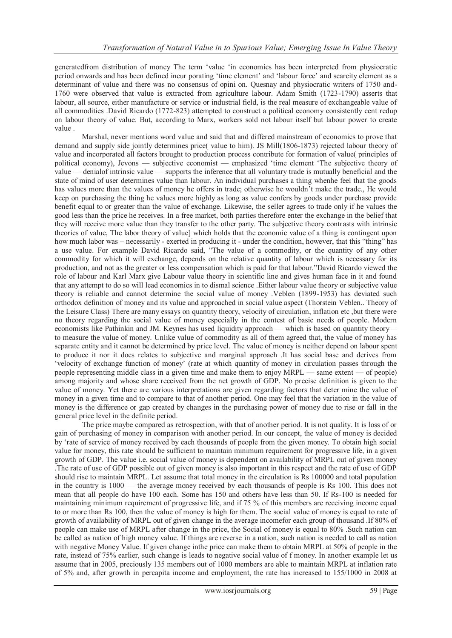generatedfrom distribution of money The term 'value 'in economics has been interpreted from physiocratic period onwards and has been defined incur porating ‗time element' and ‗labour force' and scarcity element as a determinant of value and there was no consensus of opini on. Quesnay and physiocratic writers of 1750 and-1760 were observed that value is extracted from agriculture labour. Adam Smith (1723-1790) asserts that labour, all source, either manufacture or service or industrial field, is the real measure of exchangeable value of all commodities .David Ricardo (1772-823) attempted to construct a political economy consistently cent redup on labour theory of value. But, according to Marx, workers sold not labour itself but labour power to create value .

Marshal, never mentions word value and said that and differed mainstream of economics to prove that demand and supply side jointly determines price( value to him). JS Mill(1806-1873) rejected labour theory of value and incorporated all factors brought to production process contribute for formation of value( principles of political economy), Jevons — subjective economist — emphasized 'time element 'The subjective theory of value — denialof intrinsic value — supports the inference that all voluntary trade is mutually beneficial and the state of mind of user determines value than labour. An individual purchases a thing whenhe feel that the goods has values more than the values of money he offers in trade; otherwise he wouldn't make the trade., He would keep on purchasing the thing he values more highly as long as value confers by goods under purchase provide benefit equal to or greater than the value of exchange. Likewise, the seller agrees to trade only if he values the good less than the price he receives. In a free market, both parties therefore enter the exchange in the belief that they will receive more value than they transfer to the other party. The subjective theory contrasts with intrinsic theories of value, The labor theory of value] which holds that the economic value of a thing is contingent upon how much labor was – necessarily - exerted in producing it - under the condition, however, that this "thing" has a use value. For example David Ricardo said, "The value of a commodity, or the quantity of any other commodity for which it will exchange, depends on the relative quantity of labour which is necessary for its production, and not as the greater or less compensation which is paid for that labour."David Ricardo viewed the role of labour and Karl Marx give Labour value theory in scientific line and gives human face in it and found that any attempt to do so will lead economics in to dismal science .Either labour value theory or subjective value theory is reliable and cannot determine the social value of money .Veblen (1899-1953) has deviated such orthodox definition of money and its value and approached in social value aspect (Thorstein Veblen.. Theory of the Leisure Class) There are many essays on quantity theory, velocity of circulation, inflation etc ,but there were no theory regarding the social value of money especially in the contest of basic needs of people. Modern economists like Pathinkin and JM. Keynes has used liquidity approach — which is based on quantity theory to measure the value of money. Unlike value of commodity as all of them agreed that, the value of money has separate entity and it cannot be determined by price level. The value of money is neither depend on labour spent to produce it nor it does relates to subjective and marginal approach .It has social base and derives from ‗velocity of exchange function of money' (rate at which quantity of money in circulation passes through the people representing middle class in a given time and make them to enjoy MRPL — same extent — of people) among majority and whose share received from the net growth of GDP. No precise definition is given to the value of money. Yet there are various interpretations are given regarding factors that deter mine the value of money in a given time and to compare to that of another period. One may feel that the variation in the value of money is the difference or gap created by changes in the purchasing power of money due to rise or fall in the general price level in the definite period.

The price maybe compared as retrospection, with that of another period. It is not quality. It is loss of or gain of purchasing of money in comparison with another period. In our concept, the value of money is decided by ‗rate of service of money received by each thousands of people from the given money. To obtain high social value for money, this rate should be sufficient to maintain minimum requirement for progressive life, in a given growth of GDP. The value i.e. social value of money is dependent on availability of MRPL out of given money .The rate of use of GDP possible out of given money is also important in this respect and the rate of use of GDP should rise to maintain MRPL. Let assume that total money in the circulation is Rs 100000 and total population in the country is 1000 — the average money received by each thousands of people is Rs 100. This does not mean that all people do have 100 each. Some has 150 and others have less than 50. If Rs-100 is needed for maintaining minimum requirement of progressive life, and if 75 % of this members are receiving income equal to or more than Rs 100, then the value of money is high for them. The social value of money is equal to rate of growth of availability of MRPL out of given change in the average incomefor each group of thousand .If 80% of people can make use of MRPL after change in the price, the Social of money is equal to 80% .Such nation can be called as nation of high money value. If things are reverse in a nation, such nation is needed to call as nation with negative Money Value. If given change inthe price can make them to obtain MRPL at 50% of people in the rate, instead of 75% earlier, such change is leads to negative social value of f money. In another example let us assume that in 2005, preciously 135 members out of 1000 members are able to maintain MRPL at inflation rate of 5% and, after growth in percapita income and employment, the rate has increased to 155/1000 in 2008 at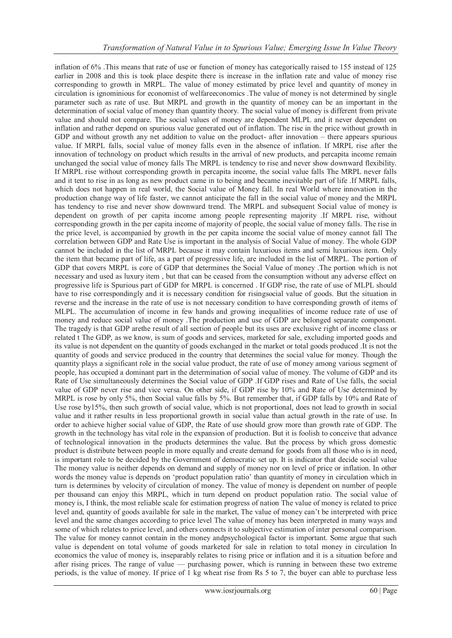inflation of 6% .This means that rate of use or function of money has categorically raised to 155 instead of 125 earlier in 2008 and this is took place despite there is increase in the inflation rate and value of money rise corresponding to growth in MRPL. The value of money estimated by price level and quantity of money in circulation is ignominious for economist of welfareeconomics .The value of money is not determined by single parameter such as rate of use. But MRPL and growth in the quantity of money can be an important in the determination of social value of money than quantity theory. The social value of money is different from private value and should not compare. The social values of money are dependent MLPL and it never dependent on inflation and rather depend on spurious value generated out of inflation. The rise in the price without growth in GDP and without growth any net addition to value on the product- after innovation – there appears spurious value. If MRPL falls, social value of money falls even in the absence of inflation. If MRPL rise after the innovation of technology on product which results in the arrival of new products, and percapita income remain unchanged the social value of money falls The MRPL is tendency to rise and never show downward flexibility. If MRPL rise without corresponding growth in percapita income, the social value falls The MRPL never falls and it tent to rise in as long as new product came in to being and became inevitable part of life .If MRPL falls, which does not happen in real world, the Social value of Money fall. In real World where innovation in the production change way of life faster, we cannot anticipate the fall in the social value of money and the MRPL has tendency to rise and never show downward trend. The MRPL and subsequent Social value of money is dependent on growth of per capita income among people representing majority .If MRPL rise, without corresponding growth in the per capita income of majority of people, the social value of money falls. The rise in the price level, is accompanied by growth in the per capita income the social value of money cannot fall The correlation between GDP and Rate Use is important in the analysis of Social Value of money. The whole GDP cannot be included in the list of MRPL because it may contain luxurious items and semi luxurious item. Only the item that became part of life, as a part of progressive life, are included in the list of MRPL. The portion of GDP that covers MRPL is core of GDP that determines the Social Value of money .The portion which is not necessary and used as luxury item , but that can be ceased from the consumption without any adverse effect on progressive life is Spurious part of GDP for MRPL is concerned . If GDP rise, the rate of use of MLPL should have to rise correspondingly and it is necessary condition for risingsocial value of goods. But the situation in reverse and the increase in the rate of use is not necessary condition to have corresponding growth of items of MLPL. The accumulation of income in few hands and growing inequalities of income reduce rate of use of money and reduce social value of money .The production and use of GDP are belonged separate component. The tragedy is that GDP arethe result of all section of people but its uses are exclusive right of income class or related t The GDP, as we know, is sum of goods and services, marketed for sale, excluding imported goods and its value is not dependent on the quantity of goods exchanged in the market or total goods produced .It is not the quantity of goods and service produced in the country that determines the social value for money. Though the quantity plays a significant role in the social value product, the rate of use of money among various segment of people, has occupied a dominant part in the determination of social value of money. The volume of GDP and its Rate of Use simultaneously determines the Social value of GDP .If GDP rises and Rate of Use falls, the social value of GDP never rise and vice versa. On other side, if GDP rise by 10% and Rate of Use determined by MRPL is rose by only 5%, then Social value falls by 5%. But remember that, if GDP falls by 10% and Rate of Use rose by15%, then such growth of social value, which is not proportional, does not lead to growth in social value and it rather results in less proportional growth in social value than actual growth in the rate of use. In order to achieve higher social value of GDP, the Rate of use should grow more than growth rate of GDP. The growth in the technology has vital role in the expansion of production. But it is foolish to conceive that advance of technological innovation in the products determines the value. But the process by which gross domestic product is distribute between people in more equally and create demand for goods from all those who is in need, is important role to be decided by the Government of democratic set up. It is indicator that decide social value The money value is neither depends on demand and supply of money nor on level of price or inflation. In other words the money value is depends on 'product population ratio' than quantity of money in circulation which in turn is determines by velocity of circulation of money. The value of money is dependent on number of people per thousand can enjoy this MRPL, which in turn depend on product population ratio. The social value of money is, I think, the most reliable scale for estimation progress of nation The value of money is related to price level and, quantity of goods available for sale in the market, The value of money can't be interpreted with price level and the same changes according to price level The value of money has been interpreted in many ways and some of which relates to price level, and others connects it to subjective estimation of inter personal comparison. The value for money cannot contain in the money andpsychological factor is important. Some argue that such value is dependent on total volume of goods marketed for sale in relation to total money in circulation In economics the value of money is, inseparably relates to rising price or inflation and it is a situation before and after rising prices. The range of value — purchasing power, which is running in between these two extreme periods, is the value of money. If price of 1 kg wheat rise from Rs 5 to 7, the buyer can able to purchase less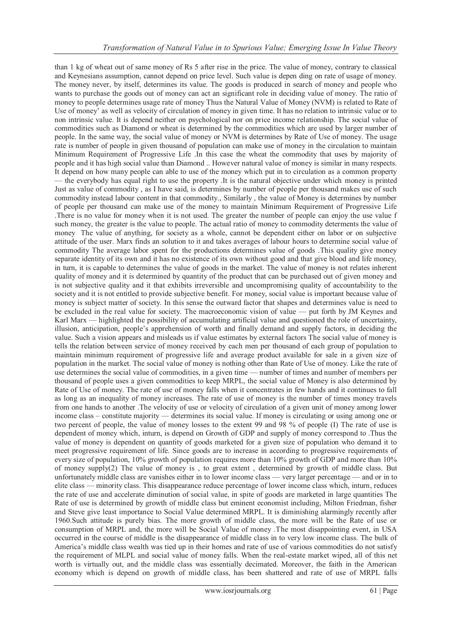than 1 kg of wheat out of same money of Rs 5 after rise in the price. The value of money, contrary to classical and Keynesians assumption, cannot depend on price level. Such value is depen ding on rate of usage of money. The money never, by itself, determines its value. The goods is produced in search of money and people who wants to purchase the goods out of money can act an significant role in deciding value of money. The ratio of money to people determines usage rate of money Thus the Natural Value of Money (NVM) is related to Rate of Use of money' as well as velocity of circulation of money in given time. It has no relation to intrinsic value or to non intrinsic value. It is depend neither on psychological nor on price income relationship. The social value of commodities such as Diamond or wheat is determined by the commodities which are used by larger number of people. In the same way, the social value of money or NVM is determines by Rate of Use of money. The usage rate is number of people in given thousand of population can make use of money in the circulation to maintain Minimum Requirement of Progressive Life .In this case the wheat the commodity that uses by majority of people and it has high social value than Diamond .. However natural value of money is similar in many respects. It depend on how many people can able to use of the money which put in to circulation as a common property — the everybody has equal right to use the property .It is the natural objective under which money is printed Just as value of commodity , as I have said, is determines by number of people per thousand makes use of such commodity instead labour content in that commodity., Similarly , the value of Money is determines by number of people per thousand can make use of the money to maintain Minimum Requirement of Progressive Life .There is no value for money when it is not used. The greater the number of people can enjoy the use value f such money, the greater is the value to people. The actual ratio of money to commodity determents the value of money The value of anything, for society as a whole, cannot be dependent either on labor or on subjective attitude of the user. Marx finds an solution to it and takes averages of labour hours to determine social value of commodity The average labor spent for the productions determines value of goods .This quality give money separate identity of its own and it has no existence of its own without good and that give blood and life money, in turn, it is capable to determines the value of goods in the market. The value of money is not relates inherent quality of money and it is determined by quantity of the product that can be purchased out of given money and is not subjective quality and it that exhibits irreversible and uncompromising quality of accountability to the society and it is not entitled to provide subjective benefit. For money, social value is important because value of money is subject matter of society. In this sense the outward factor that shapes and determines value is need to be excluded in the real value for society. The macroeconomic vision of value — put forth by JM Keynes and Karl Marx — highlighted the possibility of accumulating artificial value and questioned the role of uncertainty, illusion, anticipation, people's apprehension of worth and finally demand and supply factors, in deciding the value. Such a vision appears and misleads us if value estimates by external factors The social value of money is tells the relation between service of money received by each men per thousand of each group of population to maintain minimum requirement of progressive life and average product available for sale in a given size of population in the market. The social value of money is nothing other than Rate of Use of money. Like the rate of use determines the social value of commodities, in a given time — number of times and number of members per thousand of people uses a given commodities to keep MRPL, the social value of Money is also determined by Rate of Use of money. The rate of use of money falls when it concentrates in few hands and it continues to fall as long as an inequality of money increases. The rate of use of money is the number of times money travels from one hands to another .The velocity of use or velocity of circulation of a given unit of money among lower income class – constitute majority — determines its social value. If money is circulating or using among one or two percent of people, the value of money losses to the extent 99 and 98 % of people (I) The rate of use is dependent of money which, inturn, is depend on Growth of GDP and supply of money correspond to .Thus the value of money is dependent on quantity of goods marketed for a given size of population who demand it to meet progressive requirement of life. Since goods are to increase in according to progressive requirements of every size of population, 10% growth of population requires more than 10% growth of GDP and more than 10% of money supply(2) The value of money is , to great extent , determined by growth of middle class. But unfortunately middle class are vanishes either in to lower income class — very larger percentage — and or in to elite class — minority class. This disappearance reduce percentage of lower income class which, inturn, reduces the rate of use and accelerate diminution of social value, in spite of goods are marketed in large quantities The Rate of use is determined by growth of middle class but eminent economist including, Milton Friedman, fisher and Steve give least importance to Social Value determined MRPL. It is diminishing alarmingly recently after 1960.Such attitude is purely bias. The more growth of middle class, the more will be the Rate of use or consumption of MRPL and, the more will be Social Value of money .The most disappointing event, in USA occurred in the course of middle is the disappearance of middle class in to very low income class. The bulk of America's middle class wealth was tied up in their homes and rate of use of various commodities do not satisfy the requirement of MLPL and social value of money falls. When the real-estate market wiped, all of this net worth is virtually out, and the middle class was essentially decimated. Moreover, the faith in the American economy which is depend on growth of middle class, has been shattered and rate of use of MRPL falls